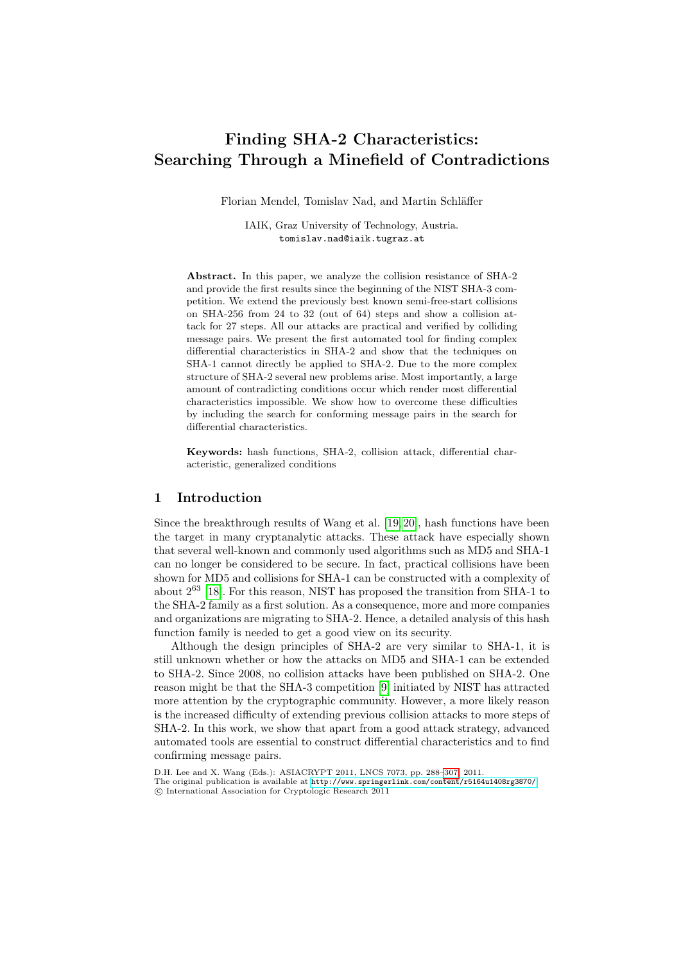# Finding SHA-2 Characteristics: Searching Through a Minefield of Contradictions

Florian Mendel, Tomislav Nad, and Martin Schläffer

IAIK, Graz University of Technology, Austria. tomislav.nad@iaik.tugraz.at

Abstract. In this paper, we analyze the collision resistance of SHA-2 and provide the first results since the beginning of the NIST SHA-3 competition. We extend the previously best known semi-free-start collisions on SHA-256 from 24 to 32 (out of 64) steps and show a collision attack for 27 steps. All our attacks are practical and verified by colliding message pairs. We present the first automated tool for finding complex differential characteristics in SHA-2 and show that the techniques on SHA-1 cannot directly be applied to SHA-2. Due to the more complex structure of SHA-2 several new problems arise. Most importantly, a large amount of contradicting conditions occur which render most differential characteristics impossible. We show how to overcome these difficulties by including the search for conforming message pairs in the search for differential characteristics.

Keywords: hash f[unct](#page-14-0)[ion](#page-14-1)s, SHA-2, collision attack, differential characteristic, generalized conditions

### 1 Introduction

Since the breakthrough results of Wang et al. [19, 20], hash functions have been the target in many cryptanalytic attacks. These attack have especially shown that several well-known and commonly used algorithms such as MD5 and SHA-1 can no longer be considered to be secure. In fact, practical collisions have been shown for MD5 and collisions for SHA-1 can be constructed with a complexity of about 2<sup>63</sup> [18]. For this reason, NIST has proposed the transition from SHA-1 to the SHA-2 family as a fir[st](#page-13-0) solution. As a consequence, more and more companies and organizations are migrating to SHA-2. Hence, a detailed analysis of this hash function family is needed to get a good view on its security.

Although the design principles of SHA-2 are very similar to SHA-1, it is still unknown whether or how the attacks on MD5 and SHA-1 can be extended to SHA-2. Since 2008, no collision attacks have been published on SHA-2. One reason might be that the SHA-3 competition [9] initiated by NIST has attracted more atte[ntion by the cryptographic community. Howev](http://www.springerlink.com/content/r5164u1408rg3870/)er, a more likely reason is the increased difficulty of extending previous collision attacks to more steps of SHA-2. In this work, we show that apart from a good attack strategy, advanced automated tools are essential to construct differential characteristics and to find confirming message pairs.

D.H. Lee and X. Wang (Eds.): ASIACRYPT 2011, LNCS 7073, pp. 288–307, 2011. The original publication is available at http://www.springerlink.com/content/r5164u1408rg3870/ c International Association for Cryptologic Research 2011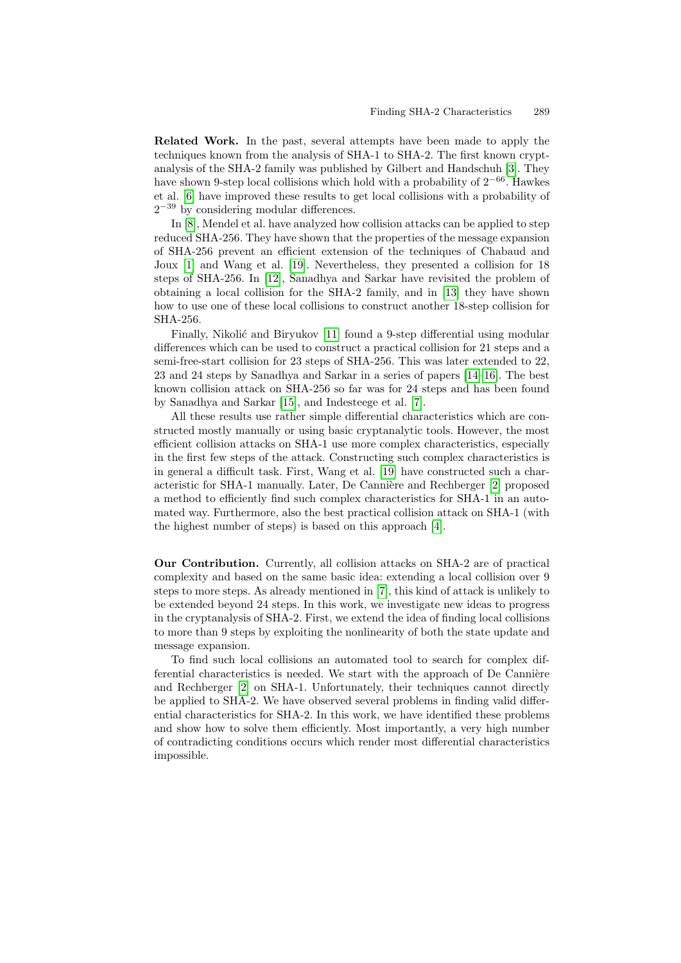Related Work. In the past, several attempts have been made to apply the techniques known from the analysis of SHA-1 to SHA-2. The first known cryptanalysis of the SHA-2 family was published by Gilbert and Handschuh [3]. They have s[how](#page-14-0)n 9-step local collisions which hold with a probability of  $2^{-66}$ . Hawkes e[t al](#page-13-1). [6] have improved these results to get local collisions with a probability of  $2^{-39}$  by considering modular differen[ces](#page-13-2).

In [8], Mendel et al. have analyzed how collision attacks can be applied to step reduced SHA-256. They have shown that the properties of the message expansion of SHA-256 [pre](#page-13-3)vent an efficient extension of the techniques of Chabaud and Joux [1] and Wang et al. [19]. Nevertheless, they presented a collision for 18 steps of SHA-256. In [12], Sanadhya and Sarkar have revisited the problem of obtaining a local collision for the SHA-[2 fa](#page-13-4)[mil](#page-13-5)y, and in [13] they have shown how to use one of these local collisions to construct another 18-step collision for SH[A-25](#page-13-6)6.

Finally, Nikolić and Biryuk[ov](#page-13-7) [11] found a 9-step differential using modular differences which can be used to construct a practical collision for 21 steps and a semi-free-start collision for 23 steps of SHA-256. This was later extended to 22, 23 and 24 steps by Sanadhya and Sarkar in a series of papers [14–16]. The best known collision attack o[n S](#page-14-0)HA-256 so far was for 24 steps and has been found by Sanadhya and Sarkar [15], and Indesteege [et](#page-13-8) al. [7].

All these results use rather simple differential characteristics which are constructed mostly manually or using basic cryptanalytic tools. However, the most efficient collision attacks on SHA-1 [u](#page-13-9)se more complex characteristics, especially in the first few steps of the attack. Constructing such complex characteristics is in general a difficult task. First, Wang et al. [19] have constructed such a characteristic for SHA-1 manually. Later, De Cannière and Rechberger [2] proposed a method to efficiently find such complex characteristics for SHA-1 in an automated way. Furthermor[e,](#page-13-7) also the best practical collision attack on SHA-1 (with the highest number of steps) is based on this approach [4].

Our Contribution. Currently, all collision attacks on SHA-2 are of practical complexity and based on the same basic idea: extending a local collision over 9 steps to more steps. As already mentioned in [7], this kind of attack is unlikely to be extended beyond 24 steps. In this work, we investigate new ideas to progress in the cryptanalysis of SHA-2. First, we extend the idea of finding local collisions to more than 9 steps by exploiting the nonlinearity of both the state update and message expansion.

To find such local collisions an automated tool to search for complex differential characteristics is needed. We start with the approach of De Cannière and Rechberger [2] on SHA-1. Unfortunately, their techniques cannot directly be applied to SHA-2. We have observed several problems in finding valid differential characteristics for SHA-2. In this work, we have identified these problems and show how to solve them efficiently. Most importantly, a very high number of contradicting conditions occurs which render most differential characteristics impossible.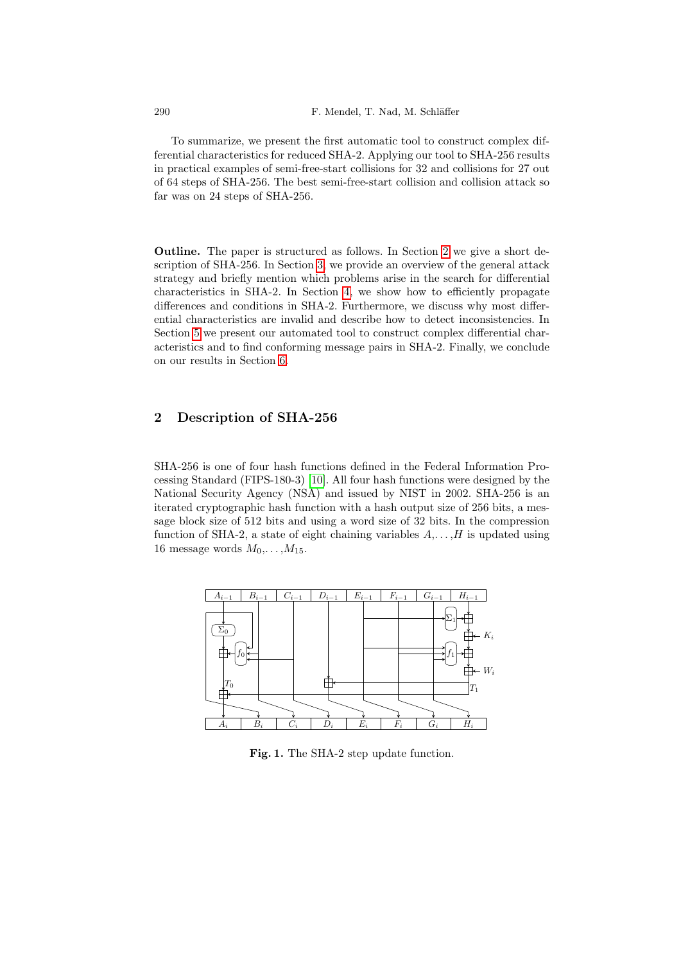To summarize, we present the first automatic tool to construct complex differential characteristics for reduced SHA-2. Applying our tool to SHA-256 results in practical examples of semi-free-st[art](#page-2-0) collisions for 32 and collisions for 27 out of 64 steps [of](#page-3-0) SHA-256. The best semi-free-start collision and collision attack so far was on 24 steps of SHA-256.

<span id="page-2-0"></span>Outline. The paper is structured as follows. In Section 2 we give a short description of SHA-256. In Section 3, we provide an overview of the general attack stra[te](#page-12-0)gy and briefly mention which problems arise in the search for differential characteristics in SHA-2. In Section 4, we show how to efficiently propagate differences and conditions in SHA-2. Furthermore, we discuss why most differential characteristics are invalid and describe how to detect inconsistencies. In Section 5 we present our automated tool to construct complex differential characteristics and to find conforming message pairs in SHA-2. Finally, we conclude on our results in Section 6.

### 2 Description of SHA-256

SHA-256 is one of four hash functions defined in the Federal Information Processing Standard (FIPS-180-3) [10]. All four hash functions were designed by the National Security Agency (NSA) and issued by NIST in 2002. SHA-256 is an iterated cryptographic hash function with a hash output size of 256 bits, a message block size of 512 bits and using a word size of 32 bits. In the compression function of SHA-2, a state of eight chaining variables  $A, \ldots, H$  is updated using 16 message words  $M_0, \ldots, M_{15}$ .



Fig. 1. The SHA-2 step update function.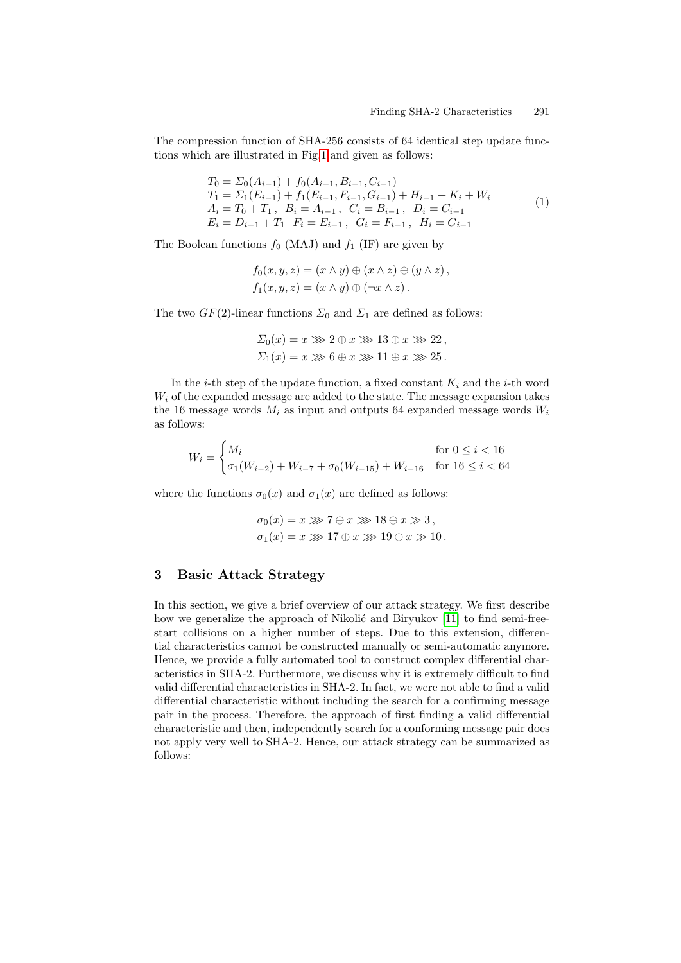The compression function of SHA-256 consists of 64 identical step update functions which are illustrated in Fig.1 and given as follows:

$$
T_0 = \Sigma_0(A_{i-1}) + f_0(A_{i-1}, B_{i-1}, C_{i-1})
$$
  
\n
$$
T_1 = \Sigma_1(E_{i-1}) + f_1(E_{i-1}, F_{i-1}, G_{i-1}) + H_{i-1} + K_i + W_i
$$
  
\n
$$
A_i = T_0 + T_1, B_i = A_{i-1}, C_i = B_{i-1}, D_i = C_{i-1}
$$
  
\n
$$
E_i = D_{i-1} + T_1 \t F_i = E_{i-1}, G_i = F_{i-1}, H_i = G_{i-1}
$$
\n(1)

The Boolean functions  $f_0$  (MAJ) and  $f_1$  (IF) are given by

$$
f_0(x, y, z) = (x \wedge y) \oplus (x \wedge z) \oplus (y \wedge z),
$$
  

$$
f_1(x, y, z) = (x \wedge y) \oplus (\neg x \wedge z).
$$

The two  $GF(2)$ -linear functions  $\Sigma_0$  and  $\Sigma_1$  are defined as follows:

$$
\Sigma_0(x) = x \gg 2 \oplus x \gg 13 \oplus x \gg 22,
$$
  

$$
\Sigma_1(x) = x \gg 6 \oplus x \gg 11 \oplus x \gg 25.
$$

In the *i*-th step of the update function, a fixed constant  $K_i$  and the *i*-th word  $W_i$  of the expanded message are added to the state. The message expansion takes the 16 message words  $M_i$  as input and outputs 64 expanded message words  $W_i$ as follows:

$$
W_i = \begin{cases} M_i & \text{for } 0 \le i < 16\\ \sigma_1(W_{i-2}) + W_{i-7} + \sigma_0(W_{i-15}) + W_{i-16} & \text{for } 16 \le i < 64 \end{cases}
$$

<span id="page-3-0"></span>where the functions  $\sigma_0(x)$  and  $\sigma_1(x)$  are defined as follows:

$$
\sigma_0(x) = x \gg 7 \oplus x \gg 18 \oplus x \gg 3,
$$
  

$$
\sigma_1(x) = x \gg 17 \oplus x \gg 19 \oplus x \gg 10.
$$

### 3 Basic Attack Strategy

In this section, we give a brief overview of our attack strategy. We first describe how we generalize the approach of Nikolić and Biryukov [11] to find semi-freestart collisions on a higher number of steps. Due to this extension, differential characteristics cannot be constructed manually or semi-automatic anymore. Hence, we provide a fully automated tool to construct complex differential characteristics in SHA-2. Furthermore, we discuss why it is extremely difficult to find valid differential characteristics in SHA-2. In fact, we were not able to find a valid differential characteristic without including the search for a confirming message pair in the process. Therefore, the approach of first finding a valid differential characteristic and then, independently search for a conforming message pair does not apply very well to SHA-2. Hence, our attack strategy can be summarized as follows: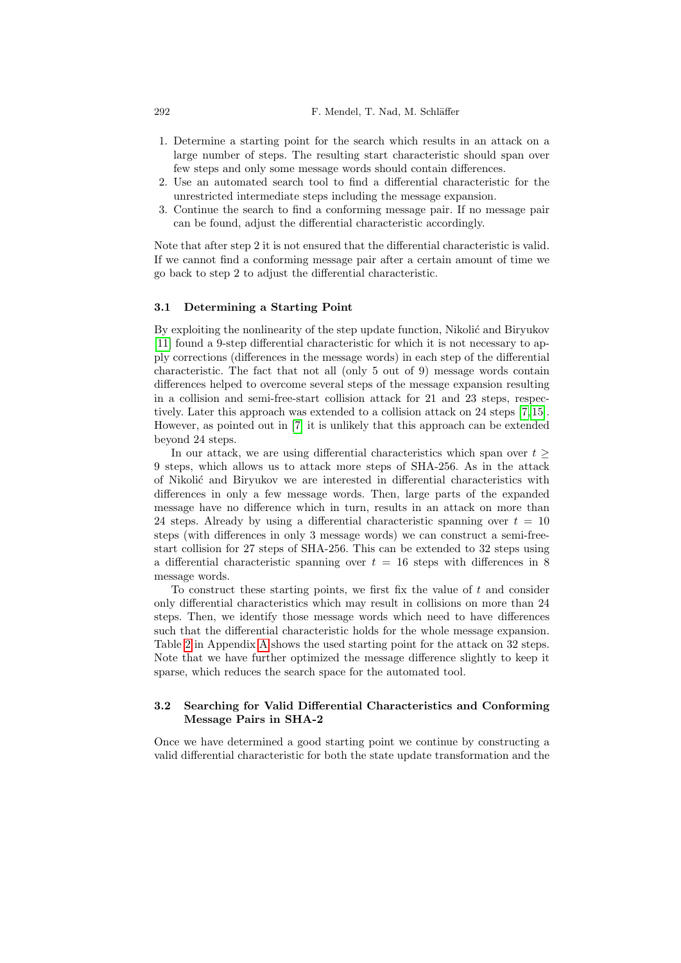- 1. Determine a starting point for the search which results in an attack on a large number of steps. The resulting start characteristic should span over few steps and only some message words should contain differences.
- 2. Use an automated search tool to find a differential characteristic for the unrestricted intermediate steps including the message expansion.
- 3. Continue the search to find a conforming message pair. If no message pair can be found, adjust the differential characteristic accordingly.

Note that after step 2 it is not ensured that the differential characteristic is valid. If we cannot find a conforming message pair after a certain amount of time we go back to step 2 to adjust the differential characteristic.

#### 3.1 Determining a Starting Point

By exploiting the nonlinearity of the step update fun[ct](#page-13-7)[ion,](#page-13-6) Nikolić and Biryukov [11] fo[un](#page-13-7)d a 9-step differential characteristic for which it is not necessary to apply corrections (differences in the message words) in each step of the differential characteristic. The fact that not all (only 5 out of 9) message words contain differences helped to overcome several steps of the message expansion resulting in a collision and semi-free-start collision attack for 21 and 23 steps, respectively. Later this approach was extended to a collision attack on 24 steps [7, 15]. However, as pointed out in [7] it is unlikely that this approach can be extended beyond 24 steps.

In our attack, we are using differential characteristics which span over  $t \geq$ 9 steps, which allows us to attack more steps of SHA-256. As in the attack of Nikoli´c and Biryukov we are interested in differential characteristics with differences in only a few message words. Then, large parts of the expanded message have no difference which in turn, results in an attack on more than 24 steps. Already by using a differential characteristic spanning over  $t = 10$ steps (with differences in only 3 message words) we can construct a semi-freestart collision for 27 steps of SHA-256. This can be extended to 32 steps using [a](#page-14-2) differential characteristic spanning over  $t = 16$  steps with differences in 8 message words.

To construct these starting points, we first fix the value of  $t$  and consider only differential characteristics which may result in collisions on more than 24 steps. Then, we identify those message words which need to have differences such that the differential characteristic holds for the whole message expansion. Table 2 in Appendix A shows the used starting point for the attack on 32 steps. Note that we have further optimized the message difference slightly to keep it sparse, which reduces the search space for the automated tool.

### 3.2 Searching for Valid Differential Characteristics and Conforming Message Pairs in SHA-2

Once we have determined a good starting point we continue by constructing a valid differential characteristic for both the state update transformation and the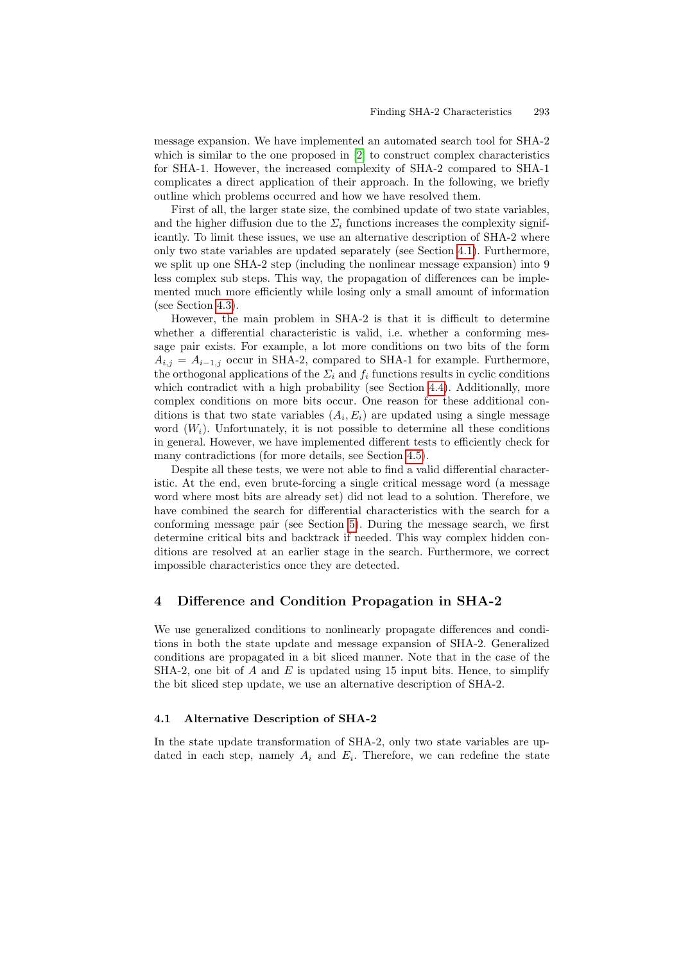message expansion. We have implemented an automated search tool for SHA-2 which is similar to the one proposed in [2] to construct complex characteristics for SHA-1. However, the increased co[mple](#page-5-0)xity of SHA-2 compared to SHA-1 complicates a direct application of their approach. In the following, we briefly outline which problems occurred and how we have resolved them.

First of all, the larger state size, the combined update of two state variables, and the higher diffusion due to the  $\Sigma_i$  functions increases the complexity significantly. To limit these issues, we use an alternative description of SHA-2 where only two state variables are updated separately (see Section 4.1). Furthermore, we split up one SHA-2 step (including the nonlinear message expansion) into 9 less complex sub steps. This way, the propagation of differences can be implemented much more efficiently while losing only a small amount of information (see Section 4.3).

However, the main problem [in S](#page-8-0)HA-2 is that it is difficult to determine whether a differential characteristic is valid, i.e. whether a conforming message pair exists. For example, a lot more conditions on two bits of the form  $A_{i,j} = A_{i-1,j}$  occur in SHA-2, compared to SHA-1 for example. Furthermore, the orthogonal applications of [the](#page-9-0)  $\Sigma_i$  and  $f_i$  functions results in cyclic conditions which contradict with a high probability (see Section 4.4). Additionally, more complex conditions on more bits occur. One reason for these additional conditions is that two state variables  $(A_i, E_i)$  are updated using a single message word  $(W_i)$ . Unfortunately, it is not possible to determine all these conditions in general. Howe[ver](#page-9-1), we have implemented different tests to efficiently check for many contradictions (for more details, see Section 4.5).

Despite all these tests, we were not able to find a valid differential characteristic. At the end, even brute-forcing a single critical message word (a message word where most bits are already set) did not lead to a solution. Therefore, we have combined the search for differential characteristics with the search for a conforming message pair (see Section 5). During the message search, we first determine critical bits and backtrack if needed. This way complex hidden conditions are resolved at an earlier stage in the search. Furthermore, we correct impossible characteristics once they are detected.

### 4 Difference and Condition Propagation in SHA-2

<span id="page-5-0"></span>We use generalized conditions to nonlinearly propagate differences and conditions in both the state update and message expansion of SHA-2. Generalized conditions are propagated in a bit sliced manner. Note that in the case of the SHA-2, one bit of A and E is updated using 15 input bits. Hence, to simplify the bit sliced step update, we use an alternative description of SHA-2.

### 4.1 Alternative Description of SHA-2

In the state update transformation of SHA-2, only two state variables are updated in each step, namely  $A_i$  and  $E_i$ . Therefore, we can redefine the state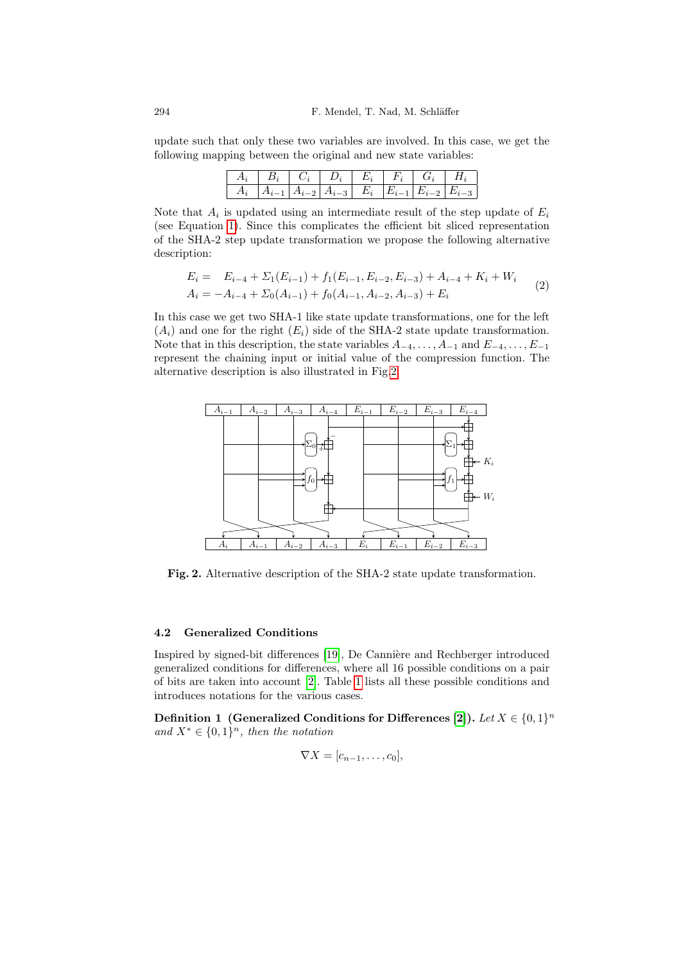update such that only these two variables are involved. In this case, we get the following mapping between the original and new state variables:

|  |  | $\begin{array}{ c c c c c c c c } \hline A_i & A_{i-1} & A_{i-2} & A_{i-3} & E_i & E_{i-1} & E_{i-2} & E_{i-3} \ \hline \end{array}$ |  |  |
|--|--|--------------------------------------------------------------------------------------------------------------------------------------|--|--|

Note that  $A_i$  is updated using an intermediate result of the step update of  $E_i$ (see Equation 1). Since this complicates the efficient bit sliced representation of the SHA-2 step update transformation we propose the following alternative description:

$$
E_i = E_{i-4} + \Sigma_1(E_{i-1}) + f_1(E_{i-1}, E_{i-2}, E_{i-3}) + A_{i-4} + K_i + W_i
$$
  
\n
$$
A_i = -A_{i-4} + \Sigma_0(A_{i-1}) + f_0(A_{i-1}, A_{i-2}, A_{i-3}) + E_i
$$
\n(2)

In this case we get two SHA-1 like state update transformations, one for the left  $(A_i)$  and one for the right  $(E_i)$  side of the SHA-2 state update transformation. Note that in this description, the state variables  $A_{-4}, \ldots, A_{-1}$  and  $E_{-4}, \ldots, E_{-1}$ represent the chaining input or initial value of the compression function. The alternative description is also illustrated in Fig.2.



<span id="page-6-1"></span><span id="page-6-0"></span>Fig. 2. Al[tern](#page-14-0)ative description of the SHA-2 state update transformation.

### 4.2 Generalized Conditions

Inspired by signed-bit differences [19], De Cannière and Rechberger introduced generalized conditions for differences, where all 16 possible conditions on a pair of bits are taken into account [2]. Table 1 lists all these possible conditions and introduces notations for the various cases.

Definition 1 (Generalized Conditions for Differences [2]). Let  $X \in \{0,1\}^n$ and  $X^* \in \{0,1\}^n$ , then the notation

$$
\nabla X=[c_{n-1},\ldots,c_0],
$$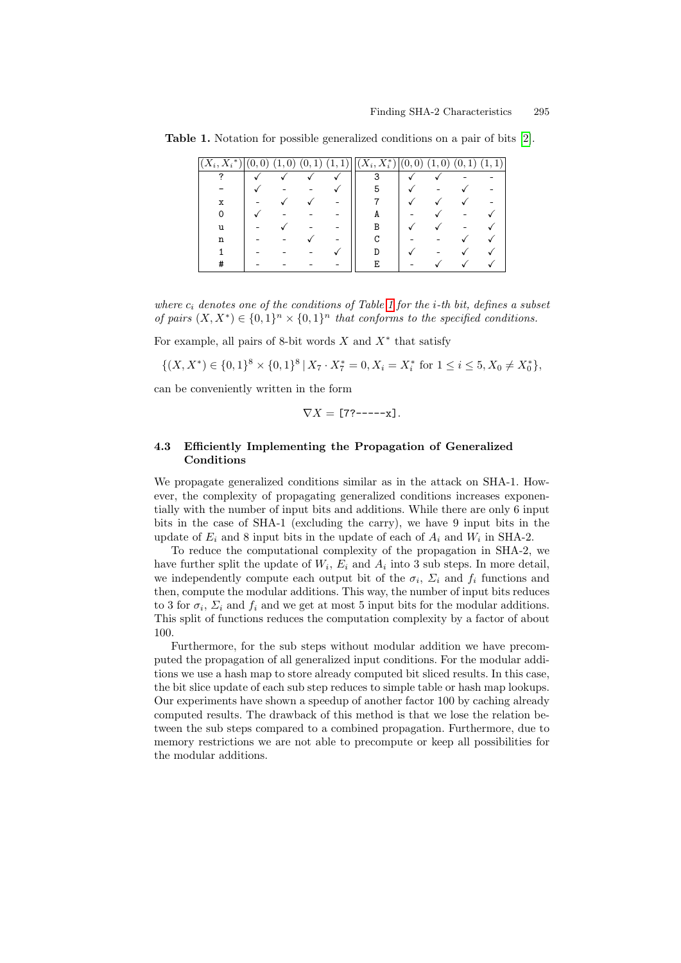| $(X_i, X_i^*)$ | $\overline{0}$<br>$\Omega$ | $\left( 0\right)$<br>11 | (0, 1) | $\overline{.1)}_1$<br>1<br>ı. | $\overline{(X_i,X_i^*) (0,$ | $\left( 0\right)$ | $\overline{0}$<br>1 | 1<br>Ό, |  |
|----------------|----------------------------|-------------------------|--------|-------------------------------|-----------------------------|-------------------|---------------------|---------|--|
| 7              |                            |                         |        |                               | 3                           |                   |                     |         |  |
|                |                            |                         |        |                               |                             |                   |                     |         |  |
| x              |                            |                         |        |                               |                             |                   |                     |         |  |
|                |                            |                         |        |                               | A                           |                   |                     |         |  |
| u              |                            |                         |        |                               |                             |                   |                     |         |  |
| n              |                            |                         |        |                               |                             |                   |                     |         |  |
|                |                            |                         |        |                               |                             |                   |                     |         |  |
| #              |                            |                         |        |                               |                             |                   |                     |         |  |

<span id="page-7-0"></span>Table 1. Notation for possible generalized conditions on a pair of bits [2].

where  $c_i$  denotes one of the conditions of Table 1 for the *i*-th bit, defines a subset of pairs  $(X, X^*) \in \{0,1\}^n \times \{0,1\}^n$  that conforms to the specified conditions.

For example, all pairs of 8-bit words  $X$  and  $X^*$  that satisfy

$$
\{(X, X^*) \in \{0, 1\}^8 \times \{0, 1\}^8 \mid X_7 \cdot X_7^* = 0, X_i = X_i^* \text{ for } 1 \le i \le 5, X_0 \neq X_0^*\},
$$

<span id="page-7-1"></span>can be conveniently written in the form

$$
\nabla X = [7?---x].
$$

### 4.3 Efficiently Implementing the Propagation of Generalized Conditions

We propagate generalized conditions similar as in the attack on SHA-1. However, the complexity of propagating generalized conditions increases exponentially with the number of input bits and additions. While there are only 6 input bits in the case of SHA-1 (excluding the carry), we have 9 input bits in the update of  $E_i$  and 8 input bits in the update of each of  $A_i$  and  $W_i$  in SHA-2.

To reduce the computational complexity of the propagation in SHA-2, we have further split the update of  $W_i$ ,  $E_i$  and  $A_i$  into 3 sub steps. In more detail, we independently compute each output bit of the  $\sigma_i$ ,  $\Sigma_i$  and  $f_i$  functions and then, compute the modular additions. This way, the number of input bits reduces to 3 for  $\sigma_i$ ,  $\Sigma_i$  and  $f_i$  and we get at most 5 input bits for the modular additions. This split of functions reduces the computation complexity by a factor of about 100.

Furthermore, for the sub steps without modular addition we have precomputed the propagation of all generalized input conditions. For the modular additions we use a hash map to store already computed bit sliced results. In this case, the bit slice update of each sub step reduces to simple table or hash map lookups. Our experiments have shown a speedup of another factor 100 by caching already computed results. The drawback of this method is that we lose the relation between the sub steps compared to a combined propagation. Furthermore, due to memory restrictions we are not able to precompute or keep all possibilities for the modular additions.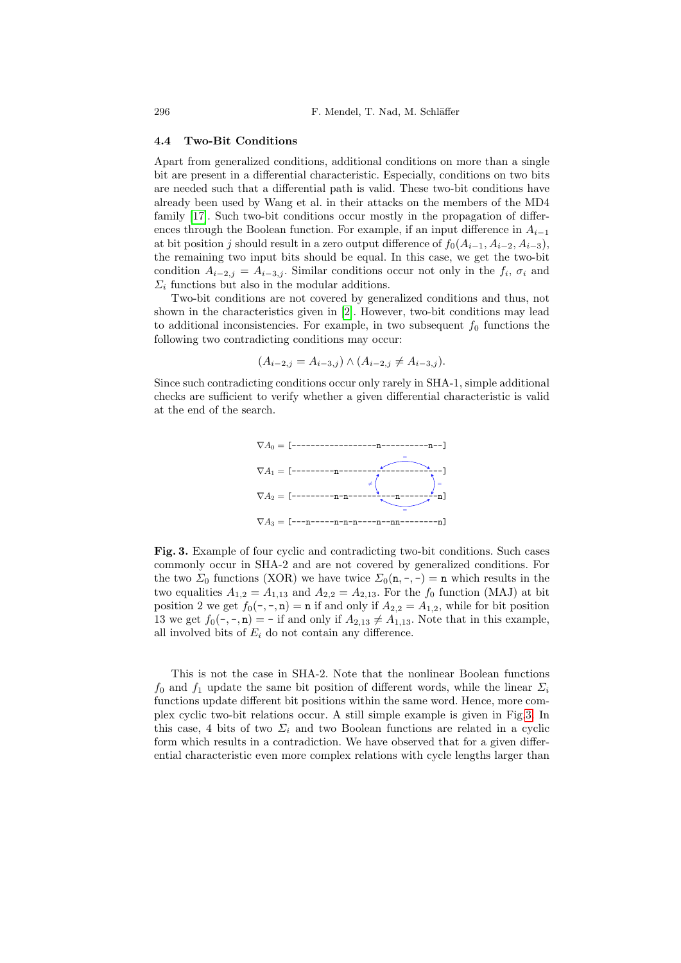#### 4.4 Two-Bit Conditions

Apart from generalized conditions, additional conditions on more than a single bit are present in a differential characteristic. Especially, conditions on two bits are needed such that a differential path is valid. These two-bit conditions have already been used by Wang et al. in their attacks on the members of the MD4 family [17]. Such two-bit conditions occur mostly in the propagation of differ[e](#page-13-8)nces through the Boolean function. For example, if an input difference in  $A_{i-1}$ at bit position j should result in a zero output difference of  $f_0(A_{i-1}, A_{i-2}, A_{i-3})$ , the remaining two input bits should be equal. In this case, we get the two-bit condition  $A_{i-2,j} = A_{i-3,j}$ . Similar conditions occur not only in the  $f_i$ ,  $\sigma_i$  and  $\Sigma_i$  functions but also in the modular additions.

Two-bit conditions are not covered by generalized conditions and thus, not shown in the characteristics given in [2]. However, two-bit conditions may lead to additional inconsistencies. For example, in two subsequent  $f_0$  functions the following two contradicting conditions may occur:

$$
(A_{i-2,j} = A_{i-3,j}) \wedge (A_{i-2,j} \neq A_{i-3,j}).
$$

Since such contradicting conditions occur only rarely in SHA-1, simple additional checks are sufficient to verify whether a given differential characteristic is valid at the end of the search.



Fig. 3. Example of four cyclic and contradicting two-bit conditions. Such cases commonly occur in SHA-2 and are not covered by generalized conditions. For the two  $\Sigma_0$  functions (XOR) we have twice  $\Sigma_0(n, -, -) = n$  which results in the two equalities  $A_{1,2} = A_{1,13}$  and  $A_{2,2} = A_{2,13}$ . For the  $f_0$  function (MAJ) at bit position 2 we get  $f_0(-, -, n) = n$  if and only if  $A_{2,2} = A_{1,2}$ , while for bit position 13 we get  $f_0(-, -, n) = -$  if and only if  $A_{2,13} \neq A_{1,13}$ . Note that in this example, all involved bits of  $E_i$  do not contain any difference.

This is not the case in SHA-2. Note that the nonlinear Boolean functions  $f_0$  and  $f_1$  update the same bit position of different words, while the linear  $\Sigma_i$ functions update different bit positions within the same word. Hence, more complex cyclic two-bit relations occur. A still simple example is given in Fig.3. In this case, 4 bits of two  $\Sigma_i$  and two Boolean functions are related in a cyclic form which results in a contradiction. We have observed that for a given differential characteristic even more complex relations with cycle lengths larger than

<span id="page-8-0"></span>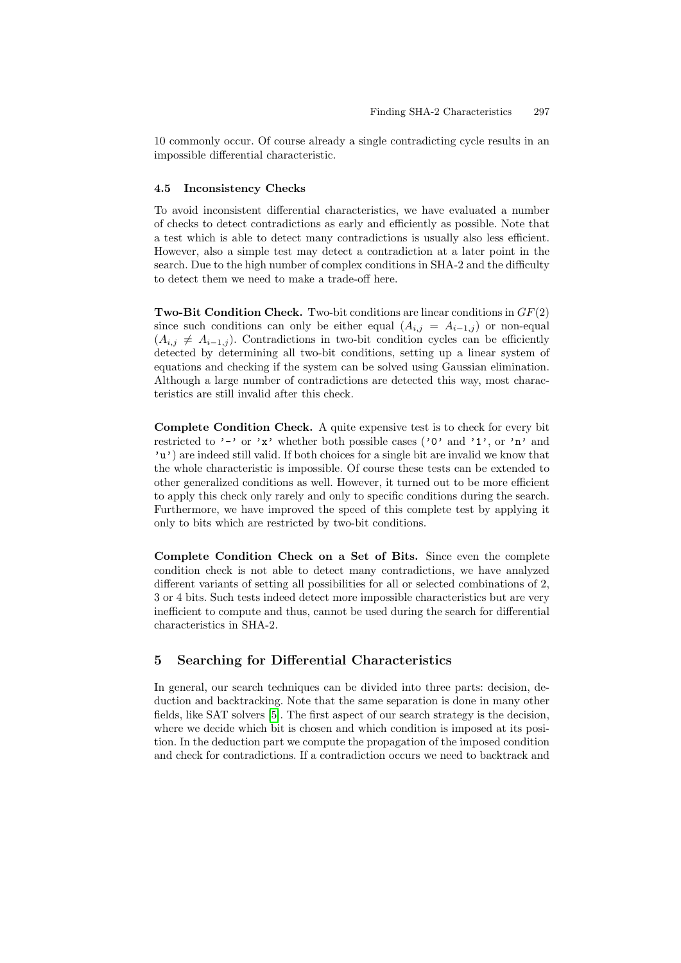<span id="page-9-0"></span>10 commonly occur. Of course already a single contradicting cycle results in an impossible differential characteristic.

#### 4.5 Inconsistency Checks

To avoid inconsistent differential characteristics, we have evaluated a number of checks to detect contradictions as early and efficiently as possible. Note that a test which is able to detect many contradictions is usually also less efficient. However, also a simple test may detect a contradiction at a later point in the search. Due to the high number of complex conditions in SHA-2 and the difficulty to detect them we need to make a trade-off here.

**Two-Bit Condition Check.** Two-bit conditions are linear conditions in  $GF(2)$ since such conditions can only be either equal  $(A_{i,j} = A_{i-1,j})$  or non-equal  $(A_{i,j} \neq A_{i-1,j})$ . Contradictions in two-bit condition cycles can be efficiently detected by determining all two-bit conditions, setting up a linear system of equations and checking if the system can be solved using Gaussian elimination. Although a large number of contradictions are detected this way, most characteristics are still invalid after this check.

Complete Condition Check. A quite expensive test is to check for every bit restricted to '-' or 'x' whether both possible cases ('0' and '1', or 'n' and 'u') are indeed still valid. If both choices for a single bit are invalid we know that the whole characteristic is impossible. Of course these tests can be extended to other generalized conditions as well. However, it turned out to be more efficient to apply this check only rarely and only to specific conditions during the search. Furthermore, we have improved the speed of this complete test by applying it only to bits which are restricted by two-bit conditions.

<span id="page-9-1"></span>Complete Condition Check on a Set of Bits. Since even the complete condition check is not able to detect many contradictions, we have analyzed different variants of setting all possibilities for all or selected combinations of 2, 3 or 4 bits. Such tests indeed detect more impossible characteristics but are very inefficient to compute and thus, cannot be used during the search for differential c[har](#page-13-10)acteristics in SHA-2.

## 5 Searching for Differential Characteristics

In general, our search techniques can be divided into three parts: decision, deduction and backtracking. Note that the same separation is done in many other fields, like SAT solvers [5]. The first aspect of our search strategy is the decision, where we decide which bit is chosen and which condition is imposed at its position. In the deduction part we compute the propagation of the imposed condition and check for contradictions. If a contradiction occurs we need to backtrack and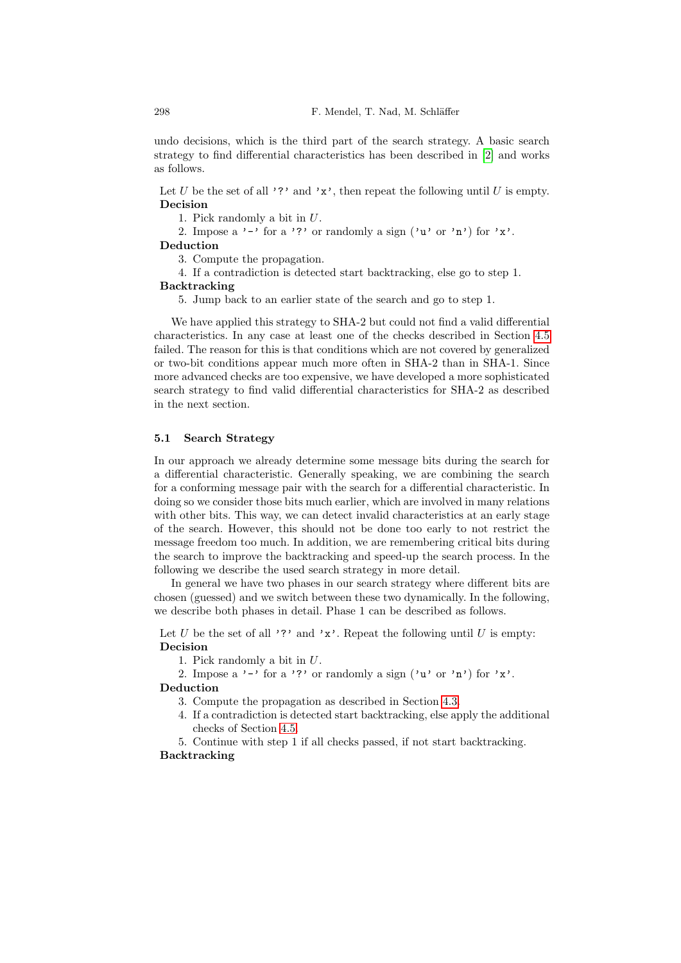undo decisions, which is the third part of the search strategy. A basic search strategy to find differential characteristics has been described in [2] and works as follows.

Let U be the set of all '?' and 'x', then repeat the following until U is empty. Decision

1. Pick randomly a bit in U.

2. Impose a '-' for a '?' or randomly a sign ('u' or 'n') for 'x'.

Deduction

3. Compute the propagation.

4. If a contradiction is detected start backtracking, else go to step 1.

#### Backtracking

5. Jump back to an earlier state of the search and go to step 1.

We have applied this strategy to SHA-2 but could not find a valid differential characteristics. In any case at least one of the checks described in Section 4.5 failed. The reason for this is that conditions which are not covered by generalized or two-bit conditions appear much more often in SHA-2 than in SHA-1. Since more advanced checks are too expensive, we have developed a more sophisticated search strategy to find valid differential characteristics for SHA-2 as described in the next section.

#### 5.1 Search Strategy

In our approach we already determine some message bits during the search for a differential characteristic. Generally speaking, we are combining the search for a conforming message pair with the search for a differential characteristic. In doing so we consider those bits much earlier, which are involved in many relations with other bits. This way, we can detect invalid characteristics at an early stage of the search. However, this should not be done too early to not restrict the message freedom too much. In addition, we are remembering critical bits during the search to improve the backtracking and speed-up the search process. In the following we describe the used search strategy in more detail.

In general we have two phases in our search strategy where different bits are chosen (guessed) and we switch between these two dynamically. In the following, we describe both phases in detail. Phase 1 can be described as follows.

Let U be the set of all '?' and 'x'[. Re](#page-7-1)peat the following until U is empty: D[ecisi](#page-9-0)on

1. Pick randomly a bit in U.

2. Impose a '-' for a '?' or randomly a sign ('u' or 'n') for 'x'.

### Deduction

- 3. Compute the propagation as described in Section 4.3.
- 4. If a contradiction is detected start backtracking, else apply the additional checks of Section 4.5.
- 5. Continue with step 1 if all checks passed, if not start backtracking.

#### Backtracking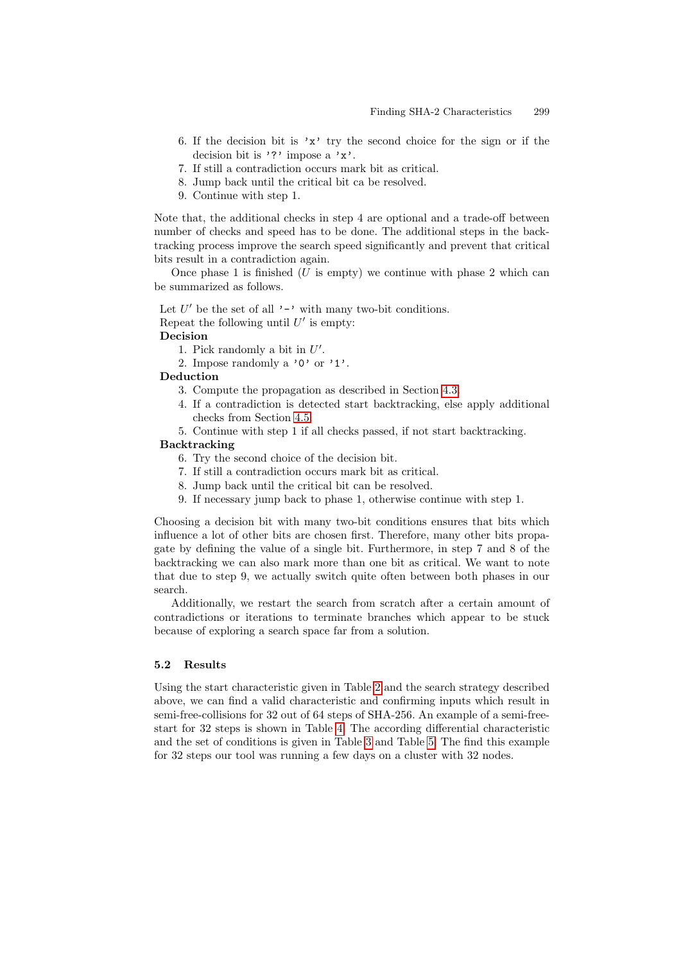- 6. If the decision bit is 'x' try the second choice for the sign or if the decision bit is '?' impose a 'x'.
- 7. If still a contradiction occurs mark bit as critical.
- 8. Jump back until the critical bit ca be resolved.
- 9. Continue with step 1.

Note that, the additional checks in step 4 are optional and a trade-off between number of checks and speed has to be done. The additional steps in the backtracking process improve the search speed significantly and prevent that critical bits result in a contradiction again.

Once phase 1 is finished  $(U \text{ is empty})$  we continue with phase 2 which can be summarized as follows.

Let  $U'$  be the set of all '-' with m[any](#page-7-1) two-bit conditions.

Repeat the following until  $U'$  is empty:

### Deci[sion](#page-9-0)

1. Pick randomly a bit in  $U'$ .

2. Impose randomly a '0' or '1'.

#### Deduction

- 3. Compute the propagation as described in Section 4.3.
- 4. If a contradiction is detected start backtracking, else apply additional checks from Section 4.5.
- 5. Continue with step 1 if all checks passed, if not start backtracking.

### Backtracking

- 6. Try the second choice of the decision bit.
- 7. If still a contradiction occurs mark bit as critical.
- 8. Jump back until the critical bit can be resolved.
- 9. If necessary jump back to phase 1, otherwise continue with step 1.

Choosing a decision bit with many two-bit conditions ensures that bits which influence a lot of other bits are chosen first. Therefore, many other bits propagate by defining the value of a single bit. Furthermore, in step 7 and 8 of the backtracking we can also mark more than one bit as critical. We want to note that due to step 9, we actually switch quite often between both phases in our search.

Additionally, we re[sta](#page-14-3)rt the search from scratch after a certain amount of contradictions or iterations to terminate branches which appear to be stuck because of exploring a search space far from a solution.

### 5.2 Results

Using the start characteristic given in Table 2 and the search strategy described above, we can find a valid characteristic and confirming inputs which result in semi-free-collisions for 32 out of 64 steps of SHA-256. An example of a semi-freestart for 32 steps is shown in Table 4. The according differential characteristic and the set of conditions is given in Table 3 and Table 5. The find this example for 32 steps our tool was running a few days on a cluster with 32 nodes.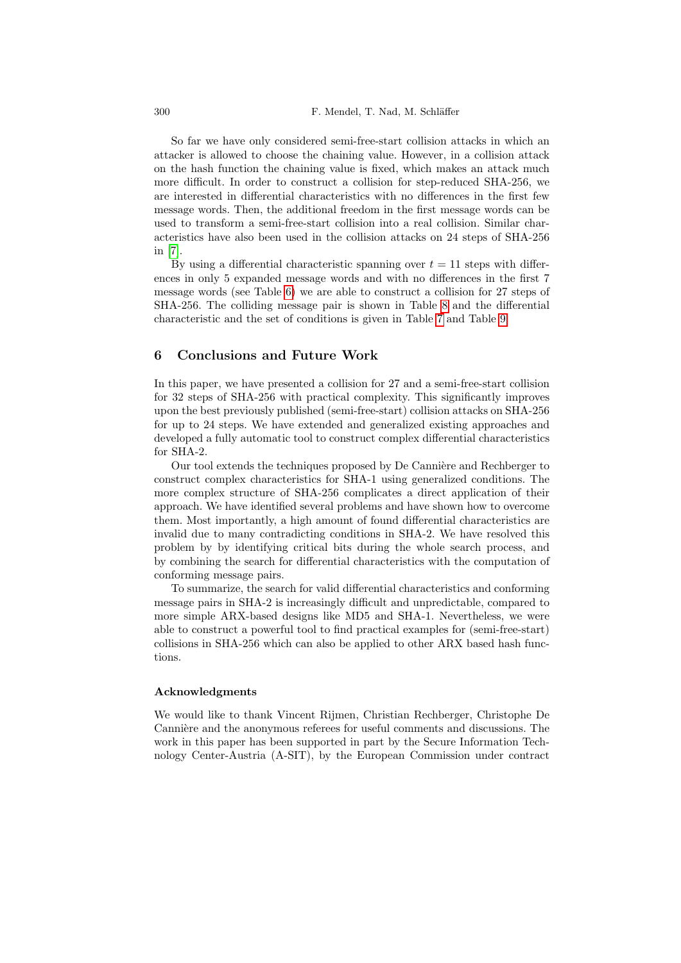So far we have only considered semi-free-start collision attacks in which an attacker is allowed to choose the chaining value. However, in a collision attack on the hash function the chaining value is fixed, which makes an attack much more difficult. In order to construct a collision for step-reduced SHA-256, we are interested in differential characteristics with no differences in the first few mess[ag](#page-17-0)e words. Then, the additional freedom in the first message words can be used to transform a semi-free-start [co](#page-18-0)llision into a real collision. Similar characteristics have also been used in t[he](#page-18-1) collision [att](#page-19-1)acks on 24 steps of SHA-256 in [7].

<span id="page-12-0"></span>By using a differential characteristic spanning over  $t = 11$  steps with differences in only 5 expanded message words and with no differences in the first 7 message words (see Table 6) we are able to construct a collision for 27 steps of SHA-256. The colliding message pair is shown in Table 8 and the differential characteristic and the set of conditions is given in Table 7 and Table 9.

### 6 Conclusions and Future Work

In this paper, we have presented a collision for 27 and a semi-free-start collision for 32 steps of SHA-256 with practical complexity. This significantly improves upon the best previously published (semi-free-start) collision attacks on SHA-256 for up to 24 steps. We have extended and generalized existing approaches and developed a fully automatic tool to construct complex differential characteristics for SHA-2.

Our tool extends the techniques proposed by De Cannière and Rechberger to construct complex characteristics for SHA-1 using generalized conditions. The more complex structure of SHA-256 complicates a direct application of their approach. We have identified several problems and have shown how to overcome them. Most importantly, a high amount of found differential characteristics are invalid due to many contradicting conditions in SHA-2. We have resolved this problem by by identifying critical bits during the whole search process, and by combining the search for differential characteristics with the computation of conforming message pairs.

To summarize, the search for valid differential characteristics and conforming message pairs in SHA-2 is increasingly difficult and unpredictable, compared to more simple ARX-based designs like MD5 and SHA-1. Nevertheless, we were able to construct a powerful tool to find practical examples for (semi-free-start) collisions in SHA-256 which can also be applied to other ARX based hash functions.

#### Acknowledgments

We would like to thank Vincent Rijmen, Christian Rechberger, Christophe De Cannière and the anonymous referees for useful comments and discussions. The work in this paper has been supported in part by the Secure Information Technology Center-Austria (A-SIT), by the European Commission under contract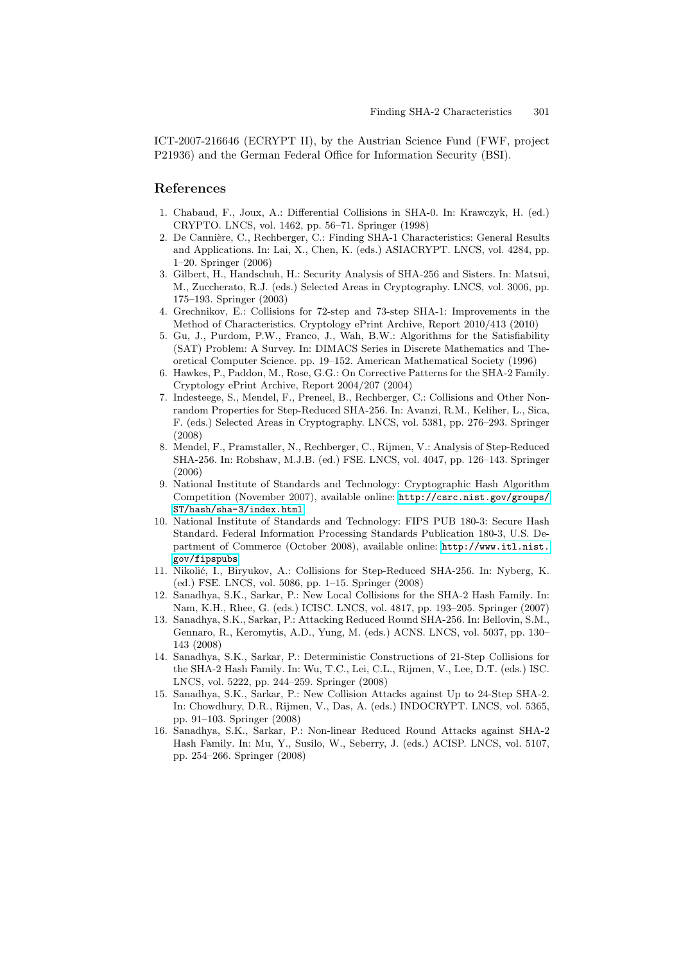<span id="page-13-8"></span>ICT-2007-216646 (ECRYPT II), by the Austrian Science Fund (FWF, project P21936) and the German Federal Office for Information Security (BSI).

### References

- 1. Chabaud, F., Joux, A.: Differential Collisions in SHA-0. In: Krawczyk, H. (ed.) CRYPTO. LNCS, vol. 1462, pp. 56–71. Springer (1998)
- <span id="page-13-9"></span>2. De Cannière, C., Rechberger, C.: Finding SHA-1 Characteristics: General Results and Applications. In: Lai, X., Chen, K. (eds.) ASIACRYPT. LNCS, vol. 4284, pp. 1–20. Springer (2006)
- <span id="page-13-10"></span>3. Gilbert, H., Handschuh, H.: Security Analysis of SHA-256 and Sisters. In: Matsui, M., Zuccherato, R.J. (eds.) Selected Areas in Cryptography. LNCS, vol. 3006, pp. 175–193. Springer (2003)
- <span id="page-13-7"></span>4. Grechnikov, E.: Collisions for 72-step and 73-step SHA-1: Improvements in the Method of Characteristics. Cryptology ePrint Archive, Report 2010/413 (2010)
- 5. Gu, J., Purdom, P.W., Franco, J., Wah, B.W.: Algorithms for the Satisfiability (SAT) Problem: A Survey. In: DIMACS Series in Discrete Mathematics and Theoretical Computer Science. pp. 19–152. American Mathematical Society (1996)
- 6. Hawkes, P., Paddon, M., Rose, G.G.: On Corrective Patterns for the SHA-2 Family. Cryptology ePrint Archive, Report 2004/207 (2004)
- <span id="page-13-0"></span>7. Indesteege, S., Mendel, F., Preneel, B., Rechberger, C.: Collisions and Other Nonrandom Properties for Step-Reduced SHA-256. In: Avanzi, R.M., Keliher, L., Sica, F. (eds.) Selected Areas i[n Cryptography. LNCS, vol. 5381,](http://csrc.nist.gov/groups/ST/hash/sha-3/index.html) pp. 276–293. Springer [\(2008\)](http://csrc.nist.gov/groups/ST/hash/sha-3/index.html)
- 8. Mendel, F., Pramstaller, N., Rechberger, C., Rijmen, V.: Analysis of Step-Reduced SHA-256. In: Robshaw, M.J.B. (ed[.\) FSE. LNCS, vol. 4047,](http://www.itl.nist.gov/fipspubs) pp. 126–143. Springer (2006)
- 9. National Institute of Standards and Technology: Cryptographic Hash Algorithm Competition (November 2007), available online: http://csrc.nist.gov/groups/ ST/hash/sha-3/index.html
- <span id="page-13-3"></span><span id="page-13-2"></span><span id="page-13-1"></span>10. National Institute of Standards and Technology: FIPS PUB 180-3: Secure Hash Standard. Federal Information Processing Standards Publication 180-3, U.S. Department of Commerce (October 2008), available online: http://www.itl.nist. gov/fipspubs
- <span id="page-13-4"></span>11. Nikolić, I., Biryukov, A.: Collisions for Step-Reduced SHA-256. In: Nyberg, K. (ed.) FSE. LNCS, vol. 5086, pp. 1–15. Springer (2008)
- 12. Sanadhya, S.K., Sarkar, P.: New Local Collisions for the SHA-2 Hash Family. In: Nam, K.H., Rhee, G. (eds.) ICISC. LNCS, vol. 4817, pp. 193–205. Springer (2007)
- <span id="page-13-6"></span>13. Sanadhya, S.K., Sarkar, P.: Attacking Reduced Round SHA-256. In: Bellovin, S.M., Gennaro, R., Keromytis, A.D., Yung, M. (eds.) ACNS. LNCS, vol. 5037, pp. 130– 143 (2008)
- <span id="page-13-5"></span>14. Sanadhya, S.K., Sarkar, P.: Deterministic Constructions of 21-Step Collisions for the SHA-2 Hash Family. In: Wu, T.C., Lei, C.L., Rijmen, V., Lee, D.T. (eds.) ISC. LNCS, vol. 5222, pp. 244–259. Springer (2008)
- 15. Sanadhya, S.K., Sarkar, P.: New Collision Attacks against Up to 24-Step SHA-2. In: Chowdhury, D.R., Rijmen, V., Das, A. (eds.) INDOCRYPT. LNCS, vol. 5365, pp. 91–103. Springer (2008)
- 16. Sanadhya, S.K., Sarkar, P.: Non-linear Reduced Round Attacks against SHA-2 Hash Family. In: Mu, Y., Susilo, W., Seberry, J. (eds.) ACISP. LNCS, vol. 5107, pp. 254–266. Springer (2008)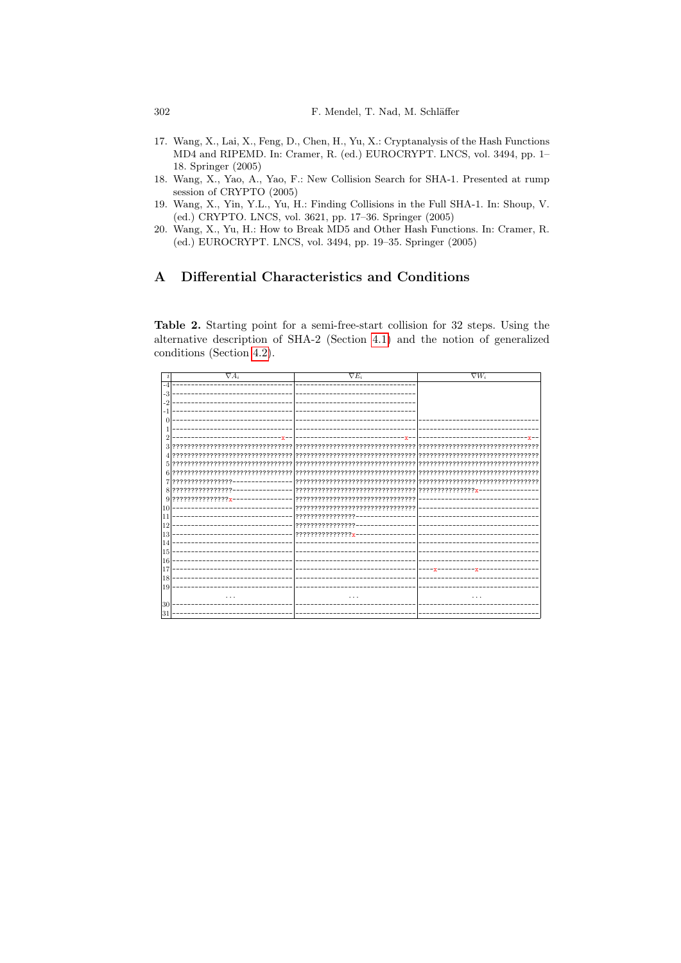- <span id="page-14-1"></span>17. Wang, X., Lai, X., Feng, D., Chen, H., Yu, X.: Cryptanalysis of the Hash Functions MD4 and RIPEMD. In: Cramer, R. (ed.) EUROCRYPT. LNCS, vol. 3494, pp. 1-18. Springer (2005)
- 18. Wang, X., Yao, A., Yao, F.: New Collision Search for SHA-1. Presented at rump session of CRYPTO (2005)
- <span id="page-14-2"></span>19. Wang, X., Yin, Y.L., Yu, H.: Finding Collisions in the Full SHA-1. In: Shoup, V. (ed.) CRYPTO. LNCS, vol. 3621, pp. 17-36. Springer (2005)
- <span id="page-14-3"></span>20. Wang, X., Yu, H.: How to Break MD5 and Other Hash Functions. In: Cramer, R. (ed.) EUROCRYPT. LNCS, vol. 3494, pp. 19-35. Springer (2005)

#### $\mathbf{A}$ Differential Characteristics and Conditions

Table 2. Starting point for a semi-free-start collision for 32 steps. Using the alternative description of SHA-2 (Section 4.1) and the notion of generalized conditions (Section 4.2).

|                | $\nabla A_i$                        | $\nabla E_i$                      | $\overline{\nabla W_i}$ |
|----------------|-------------------------------------|-----------------------------------|-------------------------|
| -4             |                                     |                                   |                         |
| -3             |                                     |                                   |                         |
| -2             |                                     |                                   |                         |
|                |                                     |                                   |                         |
| n              |                                     |                                   |                         |
|                |                                     |                                   |                         |
| 2              |                                     |                                   |                         |
| 3              | 77777                               | 7777777<br>??????????????         | 77777<br>777            |
| 4              | ???????????????????<br>???????????? |                                   |                         |
| $\overline{5}$ | ???????????????????                 |                                   | ??????????????          |
| 6              | 7777777777                          | ????? ????????                    |                         |
| 7              |                                     |                                   |                         |
| 8              | ????????????????                    |                                   |                         |
| 9              | ??????????????                      | ????????????????????????????????? |                         |
| 10             |                                     | ????????????????????????????????  |                         |
| 11             |                                     | ????????????????                  |                         |
| 12             |                                     | ????????????????                  |                         |
| 13             |                                     | ???????????????                   |                         |
| 14             |                                     |                                   |                         |
| 15             |                                     |                                   |                         |
| 16             |                                     |                                   |                         |
| 17             |                                     |                                   |                         |
| 18             |                                     |                                   |                         |
| 19             |                                     |                                   |                         |
|                | $\cdots$                            | .                                 |                         |
| 30             |                                     |                                   |                         |
| 31             |                                     |                                   |                         |

<span id="page-14-0"></span>302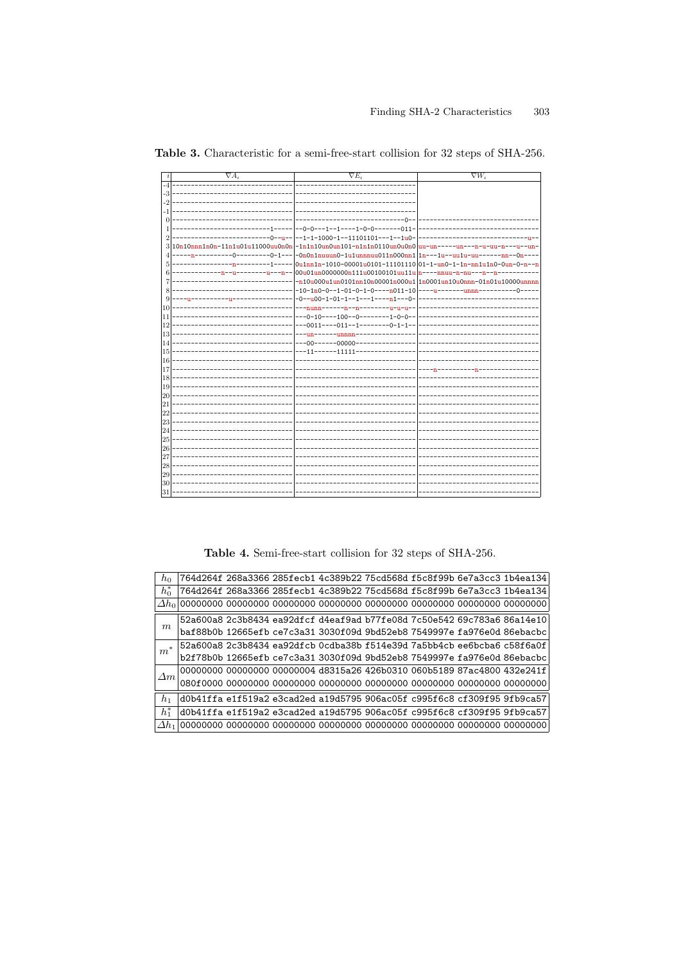|               | $\nabla A_i$                                                                              | $\overline{\nabla}E_i$                                             | $\nabla W_i$                                                        |
|---------------|-------------------------------------------------------------------------------------------|--------------------------------------------------------------------|---------------------------------------------------------------------|
|               |                                                                                           |                                                                    |                                                                     |
|               |                                                                                           |                                                                    |                                                                     |
|               |                                                                                           |                                                                    |                                                                     |
|               |                                                                                           |                                                                    |                                                                     |
|               |                                                                                           |                                                                    |                                                                     |
|               |                                                                                           | $-0$ -0---1--1----1-0-0-------011-                                 |                                                                     |
| $\mathcal{D}$ |                                                                                           | $-0$ --u-- $ -1$ -1-1000-1--11101101---1--1u0-                     |                                                                     |
| 3             | 10n10nnn1n0n-11n1u01u11000uu0n0n -1n1n10un0un101-n1n1n0110un0u0n0 uu-un-----un---n-u-uu-n |                                                                    |                                                                     |
|               |                                                                                           | --0-1--- -0n0n1nuuun0-1u1unnnuu011n000nn1 1n---1u--uu1u-uu------nn |                                                                     |
| 5             |                                                                                           | -- 0u1nn1n-1010-00001u0101-11101110 01-1-un0-1-1n-nn1u1n0-0un-0-n  | --n                                                                 |
|               |                                                                                           | 00u01un0000000n111u00100101uu11un----nnuu-n-nu---n-                |                                                                     |
|               |                                                                                           |                                                                    | $-n10u000u1un0101nn10n00001n000u1 1n0001un10u0nnn-01n01u10000unnnn$ |
|               |                                                                                           | $-10-1n0-0-1-01-0-1-0---n011-10---u$                               | ------ <b>unnn</b> -                                                |
| 9             |                                                                                           | $-0$ --u00-1-01-1--1---1----n1---0-                                |                                                                     |
| 10            |                                                                                           | ---nunn-                                                           |                                                                     |
| 11            |                                                                                           | ---0-10----100--0--------1-0-0--                                   |                                                                     |
| 12            |                                                                                           | ---0011----011--1--------0-1-1--                                   |                                                                     |
| 13            |                                                                                           | ---un------unnnn                                                   |                                                                     |
| 14            |                                                                                           | ---00------00000--                                                 |                                                                     |
| 15            |                                                                                           | ---11------11111                                                   |                                                                     |
| 16            |                                                                                           |                                                                    |                                                                     |
| 17            |                                                                                           |                                                                    |                                                                     |
| 18            |                                                                                           |                                                                    |                                                                     |
| 19            |                                                                                           |                                                                    |                                                                     |
| 20            |                                                                                           |                                                                    |                                                                     |
| 21            |                                                                                           |                                                                    |                                                                     |
| 22            |                                                                                           |                                                                    |                                                                     |
| 23            |                                                                                           |                                                                    |                                                                     |
| 24            |                                                                                           |                                                                    |                                                                     |
| 25            |                                                                                           |                                                                    |                                                                     |
| 26            |                                                                                           |                                                                    |                                                                     |
| 27            |                                                                                           |                                                                    |                                                                     |
| 28            |                                                                                           |                                                                    |                                                                     |
| 29            |                                                                                           |                                                                    |                                                                     |
| 30            |                                                                                           |                                                                    |                                                                     |
| 31            |                                                                                           |                                                                    |                                                                     |
|               |                                                                                           |                                                                    |                                                                     |

Table 3. Characteristic for a semi-free-start collision for 32 steps of SHA-256.

Table 4. Semi-free-start collision for 32 steps of SHA-256.

| $h_0$         |  |  |  | 764d264f 268a3366 285fecb1 4c389b22 75cd568d f5c8f99b 6e7a3cc3 1b4ea134 |  |
|---------------|--|--|--|-------------------------------------------------------------------------|--|
| $h_0^*$       |  |  |  | 764d264f 268a3366 285fecb1 4c389b22 75cd568d f5c8f99b 6e7a3cc3 1b4ea134 |  |
| $\Delta h_0$  |  |  |  |                                                                         |  |
|               |  |  |  | 52a600a8 2c3b8434 ea92dfcf d4eaf9ad b77fe08d 7c50e542 69c783a6 86a14e10 |  |
| m             |  |  |  | baf88b0b 12665efb ce7c3a31 3030f09d 9bd52eb8 7549997e fa976e0d 86ebacbc |  |
| m             |  |  |  | 52a600a8 2c3b8434 ea92dfcb 0cdba38b f514e39d 7a5bb4cb ee6bcba6 c58f6a0f |  |
|               |  |  |  | b2f78b0b 12665efb ce7c3a31 3030f09d 9bd52eb8 7549997e fa976e0d 86ebacbc |  |
| $\varDelta m$ |  |  |  | 00000000 00000000 00000004 d8315a26 426b0310 060b5189 87ac4800 432e241f |  |
|               |  |  |  |                                                                         |  |
| $h_1$         |  |  |  | d0b41ffa e1f519a2 e3cad2ed a19d5795 906ac05f c995f6c8 cf309f95 9fb9ca57 |  |
| $h_1^*$       |  |  |  | d0b41ffa e1f519a2 e3cad2ed a19d5795 906ac05f c995f6c8 cf309f95 9fb9ca57 |  |
|               |  |  |  |                                                                         |  |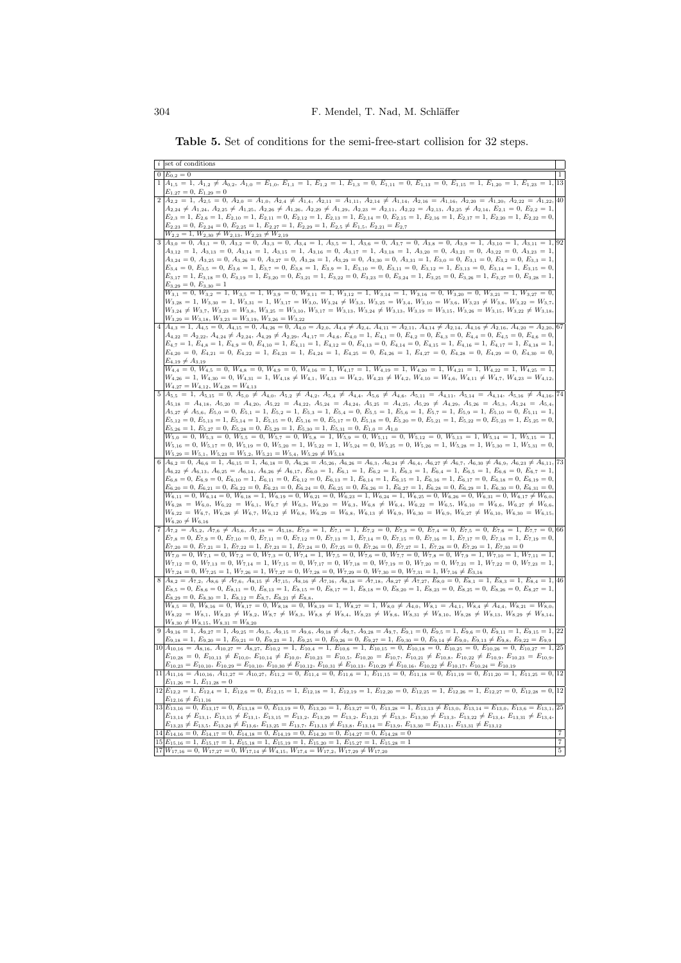Table 5. Set of conditions for the semi-free-start collision for 32 steps.

|    | $i$ set of conditions                                                                                                                                                                                                                                                                                                                                                                                                                                                                                                                                                                                 |                   |
|----|-------------------------------------------------------------------------------------------------------------------------------------------------------------------------------------------------------------------------------------------------------------------------------------------------------------------------------------------------------------------------------------------------------------------------------------------------------------------------------------------------------------------------------------------------------------------------------------------------------|-------------------|
|    | $0   E_{0,2} = 0$                                                                                                                                                                                                                                                                                                                                                                                                                                                                                                                                                                                     |                   |
|    | $1 A_{1,5}=1, A_{1,2} \neq A_{0,2}, A_{1,0}=E_{1,0}, E_{1,1}=1, E_{1,2}=1, E_{1,3}=0, E_{1,11}=0, E_{1,13}=0, E_{1,15}=1, E_{1,20}=1, E_{1,23}=1, 13$                                                                                                                                                                                                                                                                                                                                                                                                                                                 |                   |
|    | $E_{1,27} = 0, E_{1,29} = 0$<br>$2 A_{2,2}=1, A_{2,5}=0, A_{2,0}=A_{1,0}, A_{2,4}\neq A_{1,4}, A_{2,11}=A_{1,11}, A_{2,14}\neq A_{1,14}, A_{2,16}=A_{1,16}, A_{2,20}=A_{1,20}, A_{2,22}=A_{1,22},$                                                                                                                                                                                                                                                                                                                                                                                                    |                   |
|    | $A_{2,24} \neq A_{1,24}, A_{2,25} \neq A_{1,25}, A_{2,26} \neq A_{1,26}, A_{2,29} \neq A_{1,29}, A_{2,23} = A_{2,11}, A_{2,22} = A_{2,13}, A_{2,25} \neq A_{2,14}, E_{2,1} = 0, E_{2,2} = 1, E_{2,1} = 0$                                                                                                                                                                                                                                                                                                                                                                                             |                   |
|    | $E_{2,3} = 1, E_{2,6} = 1, E_{2,10} = 1, E_{2,11} = 0, E_{2,12} = 1, E_{2,13} = 1, E_{2,14} = 0, E_{2,15} = 1, E_{2,16} = 1, E_{2,17} = 1, E_{2,20} = 1, E_{2,22} = 0, E_{2,33} = 1, E_{3,34} = 1, E_{3,35} = 1, E_{3,36} = 1, E_{3,37} = 1, E_{3,38} = 1, E_{3,39} = 1, E_{3,30} = 1, E_{$                                                                                                                                                                                                                                                                                                           |                   |
|    | $E_{2,23} = 0, E_{2,24} = 0, E_{2,25} = 1, E_{2,27} = 1, E_{2,29} = 1, E_{2,5} \neq E_{1,5}, E_{2,21} = E_{2,7}$                                                                                                                                                                                                                                                                                                                                                                                                                                                                                      |                   |
|    | $W_{2,2} = 1, W_{2,30} \neq W_{2,13}, W_{2,23} \neq W_{2,19}$                                                                                                                                                                                                                                                                                                                                                                                                                                                                                                                                         |                   |
|    | $3 A_{3,0}=0, A_{3,1}=0, A_{3,2}=0, A_{3,3}=0, A_{3,4}=1, A_{3,5}=1, A_{3,6}=0, A_{3,7}=0, A_{3,8}=0, A_{3,9}=1, A_{3,10}=1, A_{3,11}=1, 92$<br>$A_{3,12} = 1, A_{3,13} = 0, A_{3,14} = 1, A_{3,15} = 1, A_{3,16} = 0, A_{3,17} = 1, A_{3,18} = 1, A_{3,20} = 0, A_{3,21} = 0, A_{3,22} = 0, A_{3,23} = 1, A_{3,24} = 0, A_{3,25} = 0, A_{3,36} = 0, A_{3,37} = 0, A_{3,38} = 0, A_{3,39} = 0, A_{3,30} = 0, A_{3,31} = 0, A_{3,32} = 0,$                                                                                                                                                             |                   |
|    | $A_{3,24} = 0$ , $A_{3,25} = 0$ , $A_{3,26} = 0$ , $A_{3,27} = 0$ , $A_{3,28} = 1$ , $A_{3,29} = 0$ , $A_{3,30} = 0$ , $A_{3,31} = 1$ , $E_{3,0} = 0$ , $E_{3,1} = 0$ , $E_{3,2} = 0$ , $E_{3,3} = 1$ ,                                                                                                                                                                                                                                                                                                                                                                                               |                   |
|    | $E_{3,4} = 0, E_{3,5} = 0, E_{3,6} = 1, E_{3,7} = 0, E_{3,8} = 1, E_{3,9} = 1, E_{3,10} = 0, E_{3,11} = 0, E_{3,12} = 1, E_{3,13} = 0, E_{3,14} = 1, E_{3,15} = 0, E_{3,16} = 0, E_{3,17} = 0, E_{3,18} = 0, E_{3,19} = 0, E_{3,10} = 0, E_{3,11} = 0, E_{3,12} = 0, E_{3,14} = 1, E_{3,15$                                                                                                                                                                                                                                                                                                           |                   |
|    | $E_{3,17} = 1, E_{3,18} = 0, E_{3,19} = 1, E_{3,20} = 0, E_{3,21} = 1, E_{3,22} = 0, E_{3,23} = 0, E_{3,24} = 1, E_{3,25} = 0, E_{3,26} = 1, E_{3,27} = 0, E_{3,28} = 1, E_{3,29} = 1, E_{3,20} = 1, E_{3,21} = 1, E_{3,22} = 1, E_{3,23} = 1, E_{3,24} = 1, E_{3,25} = 1, E_{3,26} = 1,$                                                                                                                                                                                                                                                                                                             |                   |
|    | $E_{3,29} = 0, E_{3,30} = 1$<br>$W_{3,1} = 0$ , $W_{3,2} = 1$ , $W_{3,5} = 1$ , $W_{3,9} = 0$ , $W_{3,11} = 1$ , $W_{3,12} = 1$ , $W_{3,14} = 1$ , $W_{3,16} = 0$ , $W_{3,20} = 0$ , $W_{3,21} = 1$ , $W_{3,27} = 0$ ,                                                                                                                                                                                                                                                                                                                                                                                |                   |
|    | $W_{3,28} = 1, W_{3,30} = 1, W_{3,31} = 1, W_{3,17} = W_{3,0}, W_{3,24} \neq W_{3,3}, W_{3,25} = W_{3,4}, W_{3,10} = W_{3,6}, W_{3,23} \neq W_{3,6}, W_{3,22} = W_{3,7},$                                                                                                                                                                                                                                                                                                                                                                                                                             |                   |
|    | $W_{3,24} \neq W_{3,7}$ , $W_{3,23} = W_{3,8}$ , $W_{3,25} = W_{3,10}$ , $W_{3,17} = W_{3,13}$ , $W_{3,24} \neq W_{3,13}$ , $W_{3,19} = W_{3,15}$ , $W_{3,26} = W_{3,15}$ , $W_{3,22} \neq W_{3,18}$ ,                                                                                                                                                                                                                                                                                                                                                                                                |                   |
|    | $W_{3,29} = W_{3,18}, W_{3,23} = W_{3,19}, W_{3,26} = W_{3,22}$                                                                                                                                                                                                                                                                                                                                                                                                                                                                                                                                       |                   |
|    | $4 A_{4,3}=1, A_{4,5}=0, A_{4,15}=0, A_{4,26}=0, A_{4,0}=A_{2,0}, A_{4,4}\neq A_{2,4}, A_{4,11}=A_{2,11}, A_{4,14}\neq A_{2,14}, A_{4,16}\neq A_{2,16}, A_{4,20}=A_{2,20},$ [67                                                                                                                                                                                                                                                                                                                                                                                                                       |                   |
|    | $A_{4,22} = A_{2,22}, A_{4,24} \neq A_{2,24}, A_{4,29} \neq A_{2,29}, A_{4,17} = A_{4,6}, E_{4,0} = 1, E_{4,1} = 0, E_{4,2} = 0, E_{4,3} = 0, E_{4,4} = 0, E_{4,5} = 0, E_{4,6} = 0, E_{4,7} = 0, E_{4,8} = 0, E_{4,9} = 0, E_{4,10} = 0, E_{4,11} = 0, E_{4,12} = 0, E_{4,13} = 0, E_{4,14} = 0, E_{$<br>$E_{4,7} = 1, E_{4,8} = 1, E_{4,9} = 0, E_{4,10} = 1, E_{4,11} = 1, E_{4,12} = 0, E_{4,13} = 0, E_{4,14} = 0, E_{4,15} = 1, E_{4,16} = 1, E_{4,17} = 1, E_{4,18} = 1, E_{4,19} = 1, E_{4,10} = 1, E_{4,11} = 1, E_{4,12} = 1, E_{4,14} = 1, E_{4,15} = 1, E_{4,16} = 1, E_{4,17} = 1, E_{4$ |                   |
|    | $E_{4,20} = 0, E_{4,21} = 0, E_{4,22} = 1, E_{4,23} = 1, E_{4,24} = 1, E_{4,25} = 0, E_{4,26} = 1, E_{4,27} = 0, E_{4,28} = 0, E_{4,29} = 0, E_{4,30} = 0, E_{4,40} = 0, E_{4,41} = 0, E_{4,42} = 0, E_{4,43} = 0, E_{4,44} = 0, E_{4,45} = 0, E_{4,46} = 0, E_{4,47} = 0, E_{4,48} = 0,$                                                                                                                                                                                                                                                                                                             |                   |
|    | $E_{4,19} \neq A_{3,19}$                                                                                                                                                                                                                                                                                                                                                                                                                                                                                                                                                                              |                   |
|    | $W_{4,4} = 0$ , $W_{4,5} = 0$ , $W_{4,8} = 0$ , $W_{4,9} = 0$ , $W_{4,16} = 1$ , $W_{4,17} = 1$ , $W_{4,19} = 1$ , $W_{4,20} = 1$ , $W_{4,21} = 1$ , $W_{4,22} = 1$ , $W_{4,25} = 1$ ,                                                                                                                                                                                                                                                                                                                                                                                                                |                   |
|    | $W_{4,26} = 1, W_{4,30} = 0, W_{4,31} = 1, W_{4,18} \neq W_{4,1}, W_{4,13} = W_{4,2}, W_{4,23} \neq W_{4,2}, W_{4,10} = W_{4,6}, W_{4,11} \neq W_{4,7}, W_{4,23} = W_{4,12}, W_{4,14} = W_{4,14}, W_{4,15} = W_{4,16}, W_{4,17} = W_{4,18}$<br>$W_{4.27} = W_{4.12}, W_{4.28} = W_{4.13}$                                                                                                                                                                                                                                                                                                             |                   |
|    | $5 A_{5,5}=1, A_{5,15}=0, A_{5,0} \neq A_{4,0}, A_{5,2} \neq A_{4,2}, A_{5,4} \neq A_{4,4}, A_{5,6} \neq A_{4,6}, A_{5,11}=A_{4,11}, A_{5,14}=A_{4,14}, A_{5,16} \neq A_{4,16},$                                                                                                                                                                                                                                                                                                                                                                                                                      |                   |
|    | $A_{5,18} = A_{4,18}, A_{5,20} = A_{4,20}, A_{5,22} = A_{4,22}, A_{5,24} = A_{4,24}, A_{5,25} = A_{4,25}, A_{5,29} \neq A_{4,29}, A_{5,26} = A_{5,3}, A_{5,24} = A_{5,4}$                                                                                                                                                                                                                                                                                                                                                                                                                             |                   |
|    | $A_{5,27} \neq A_{5,6}, E_{5,0} = 0, E_{5,1} = 1, E_{5,2} = 1, E_{5,3} = 1, E_{5,4} = 0, E_{5,5} = 1, E_{5,6} = 1, E_{5,7} = 1, E_{5,9} = 1, E_{5,10} = 0, E_{5,11} = 1, E_{5,12} = 1, E_{5,13} = 1, E_{5,14} = 1, E_{5,15} = 1, E_{5,16} = 1, E_{5,17} = 1, E_{5,18} = 1, E_{5,19} = 1, E_{5,$                                                                                                                                                                                                                                                                                                       |                   |
|    | $E_{5,12} = 0, E_{5,13} = 1, E_{5,14} = 1, E_{5,15} = 0, E_{5,16} = 0, E_{5,17} = 0, E_{5,18} = 0, E_{5,20} = 0, E_{5,21} = 1, E_{5,22} = 0, E_{5,23} = 1, E_{5,25} = 0, E_{5,26} = 0, E_{5,27} = 0, E_{5,28} = 0, E_{5,29} = 0, E_{5,20} = 0, E_{5,21} = 0, E_{5,22} = 0, E_{5,23} = 1,$<br>$E_{5,26} = 1, E_{5,27} = 0, E_{5,28} = 0, E_{5,29} = 1, E_{5,30} = 1, E_{5,31} = 0, E_{1,0} = A_{1,0}$                                                                                                                                                                                                  |                   |
|    | $W_{5,0} = 0$ , $W_{5,3} = 0$ , $W_{5,5} = 0$ , $W_{5,7} = 0$ , $W_{5,8} = 1$ , $W_{5,9} = 0$ , $W_{5,11} = 0$ , $W_{5,12} = 0$ , $W_{5,13} = 1$ , $W_{5,14} = 1$ , $W_{5,15} = 1$ ,                                                                                                                                                                                                                                                                                                                                                                                                                  |                   |
|    | $W_{5,16} = 0$ , $W_{5,17} = 0$ , $W_{5,19} = 0$ , $W_{5,20} = 1$ , $W_{5,22} = 1$ , $W_{5,24} = 0$ , $W_{5,25} = 0$ , $W_{5,26} = 1$ , $W_{5,28} = 1$ , $W_{5,30} = 1$ , $W_{5,31} = 0$ ,                                                                                                                                                                                                                                                                                                                                                                                                            |                   |
|    | $W_{5,29} = W_{5,1}, W_{5,23} = W_{5,2}, W_{5,21} = W_{5,4}, W_{5,29} \neq W_{5,18}$                                                                                                                                                                                                                                                                                                                                                                                                                                                                                                                  |                   |
| 6. | $A_{6,2}=0, A_{6,6}=1, A_{6,15}=1, A_{6,18}=0, A_{6,26}=A_{5,26}, A_{6,26}=A_{6,3}, A_{6,24}\neq A_{6,4}, A_{6,27}\neq A_{6,7}, A_{6,30}\neq A_{6,9}, A_{6,23}\neq A_{6,11},$                                                                                                                                                                                                                                                                                                                                                                                                                         | 73                |
|    | $A_{6,22} \neq A_{6,13}$ , $A_{6,25} = A_{6,14}$ , $A_{6,26} \neq A_{6,17}$ , $E_{6,0} = 1$ , $E_{6,1} = 1$ , $E_{6,2} = 1$ , $E_{6,3} = 1$ , $E_{6,4} = 1$ , $E_{6,5} = 1$ , $E_{6,6} = 0$ , $E_{6,7} = 1$ ,<br>$E_{6,8} = 0, E_{6,9} = 0, E_{6,10} = 1, E_{6,11} = 0, E_{6,12} = 0, E_{6,13} = 1, E_{6,14} = 1, E_{6,15} = 1, E_{6,16} = 1, E_{6,17} = 0, E_{6,18} = 0, E_{6,19} = 0, E_{6,10} = 0, E_{6,11} = 0, E_{6,12} = 0, E_{6,14} = 1, E_{6,15} = 1, E_{6,16} = 1, E_{6,17} = 0, E_{6,18} = 0, E_{$                                                                                          |                   |
|    | $E_{6,20} = 0, E_{6,21} = 0, E_{6,22} = 0, E_{6,23} = 0, E_{6,24} = 0, E_{6,25} = 0, E_{6,26} = 1, E_{6,27} = 1, E_{6,28} = 0, E_{6,29} = 1, E_{6,30} = 0, E_{6,31} = 0, E_{6,32} = 0, E_{6,33} = 0, E_{6,34} = 0, E_{6,35} = 0, E_{6,36} = 0, E_{6,37} = 0, E_{6,38} = 0, E_{6,39} = 0,$                                                                                                                                                                                                                                                                                                             |                   |
|    | $W_{6,11} = 0, W_{6,14} = 0, W_{6,18} = 1, W_{6,19} = 0, W_{6,21} = 0, W_{6,23} = 1, W_{6,24} = 1, W_{6,25} = 0, W_{6,26} = 0, W_{6,31} = 0, W_{6,17} \neq W_{6,0},$                                                                                                                                                                                                                                                                                                                                                                                                                                  |                   |
|    | $W_{6,28} = W_{6,0},\ W_{6,22} = W_{6,1},\ W_{6,7} \neq W_{6,3},\ W_{6,20} = W_{6,3},\ W_{6,8} \neq W_{6,4},\ W_{6,22} = W_{6,5},\ W_{6,10} = W_{6,6},\ W_{6,27} \neq W_{6,6},$                                                                                                                                                                                                                                                                                                                                                                                                                       |                   |
|    | $W_{6,22} = W_{6,7}, W_{6,28} \neq W_{6,7}, W_{6,12} \neq W_{6,8}, W_{6,29} = W_{6,8}, W_{6,13} \neq W_{6,9}, W_{6,30} = W_{6,9}, W_{6,27} \neq W_{6,10}, W_{6,30} = W_{6,15}, W_{6,14} \neq W_{6,16}, W_{6,15} \neq W_{6,16}, W_{6,16} \neq W_{6,17}, W_{6,18} \neq W_{6,19}, W_{6,19} \neq W_{6,10}, W_{6,10} \neq W_{6$<br>$W_{6,20} \neq W_{6,16}$                                                                                                                                                                                                                                                |                   |
|    | $7 A_{7,2}=A_{5,2}, A_{7,6}\neq A_{5,6}, A_{7,18}=A_{5,18}, E_{7,0}=1, E_{7,1}=1, E_{7,2}=0, E_{7,3}=0, E_{7,4}=0, E_{7,5}=0, E_{7,6}=1, E_{7,7}=0,$ [66]                                                                                                                                                                                                                                                                                                                                                                                                                                             |                   |
|    | $E_{7,8} = 0$ , $E_{7,9} = 0$ , $E_{7,10} = 0$ , $E_{7,11} = 0$ , $E_{7,12} = 0$ , $E_{7,13} = 1$ , $E_{7,14} = 0$ , $E_{7,15} = 0$ , $E_{7,16} = 1$ , $E_{7,17} = 0$ , $E_{7,18} = 1$ , $E_{7,19} = 0$ ,                                                                                                                                                                                                                                                                                                                                                                                             |                   |
|    | $E_{7,20} = 0$ , $E_{7,21} = 1$ , $E_{7,22} = 1$ , $E_{7,23} = 1$ , $E_{7,24} = 0$ , $E_{7,25} = 0$ , $E_{7,26} = 0$ , $E_{7,27} = 1$ , $E_{7,28} = 0$ , $E_{7,29} = 1$ , $E_{7,30} = 0$                                                                                                                                                                                                                                                                                                                                                                                                              |                   |
|    | $W_{7,0} = 0$ , $W_{7,1} = 0$ , $W_{7,2} = 0$ , $W_{7,3} = 0$ , $W_{7,4} = 1$ , $W_{7,5} = 0$ , $W_{7,6} = 0$ , $W_{7,7} = 0$ , $W_{7,8} = 0$ , $W_{7,9} = 1$ , $W_{7,10} = 1$ , $W_{7,11} = 1$ ,<br>$W_{7,12} = 0$ , $W_{7,13} = 0$ , $W_{7,14} = 1$ , $W_{7,15} = 0$ , $W_{7,17} = 0$ , $W_{7,18} = 0$ , $W_{7,19} = 0$ , $W_{7,20} = 0$ , $W_{7,21} = 1$ , $W_{7,22} = 0$ , $W_{7,23} = 1$ ,                                                                                                                                                                                                       |                   |
|    | $W_{7,24} = 0$ , $W_{7,25} = 1$ , $W_{7,26} = 1$ , $W_{7,27} = 0$ , $W_{7,28} = 0$ , $W_{7,29} = 0$ , $W_{7,30} = 0$ , $W_{7,31} = 1$ , $W_{7,16} \neq E_{3,16}$                                                                                                                                                                                                                                                                                                                                                                                                                                      |                   |
|    | $8 A_{8,2} = A_{7,2}, A_{8,6} \neq A_{7,6}, A_{8,15} \neq A_{7,15}, A_{8,16} \neq A_{7,16}, A_{8,18} = A_{7,18}, A_{8,27} \neq A_{7,27}, E_{8,0} = 0, E_{8,1} = 1, E_{8,3} = 1, E_{8,4} = 1, 46$                                                                                                                                                                                                                                                                                                                                                                                                      |                   |
|    | $E_{8,5} = 0, E_{8,6} = 0, E_{8,11} = 0, E_{8,13} = 1, E_{8,15} = 0, E_{8,17} = 1, E_{8,18} = 0, E_{8,20} = 1, E_{8,23} = 0, E_{8,25} = 0, E_{8,26} = 0, E_{8,27} = 1, E_{8,28} = 0, E_{8,29} = 0, E_{8,20} = 0, E_{8,21} = 0, E_{8,22} = 0, E_{8,23} = 0, E_{8,24} = 0, E_{8,25} = 0, E_{$                                                                                                                                                                                                                                                                                                           |                   |
|    | $E_{8,29} = 0, E_{8,30} = 1, E_{8,12} = E_{8,7}, E_{8,21} \neq E_{8,8},$<br>$W_{8,5} = 0$ , $W_{8,16} = 0$ , $W_{8,17} = 0$ , $W_{8,18} = 0$ , $W_{8,19} = 1$ , $W_{8,27} = 1$ , $W_{8,0} \neq A_{4,0}$ , $W_{8,1} = A_{4,1}$ , $W_{8,4} \neq A_{4,4}$ , $W_{8,21} = W_{8,0}$ ,                                                                                                                                                                                                                                                                                                                       |                   |
|    | $W_{8,22} = W_{8,1}, W_{8,23} \neq W_{8,2}, W_{8,7} \neq W_{8,3}, W_{8,8} \neq W_{8,4}, W_{8,23} \neq W_{8,6}, W_{8,31} \neq W_{8,10}, W_{8,28} \neq W_{8,13}, W_{8,29} \neq W_{8,14},$                                                                                                                                                                                                                                                                                                                                                                                                               |                   |
|    | $W_{8,30} \neq W_{8,15}, W_{8,31} = W_{8,20}$                                                                                                                                                                                                                                                                                                                                                                                                                                                                                                                                                         |                   |
|    |                                                                                                                                                                                                                                                                                                                                                                                                                                                                                                                                                                                                       |                   |
|    | $E_{9,18} = 1, E_{9,20} = 1, E_{9,21} = 0, E_{9,23} = 1, E_{9,25} = 0, E_{9,26} = 0, E_{9,27} = 1, E_{9,30} = 0, E_{9,14} \neq E_{9,0}, E_{9,13} \neq E_{9,8}, E_{9,22} = E_{9,9}$                                                                                                                                                                                                                                                                                                                                                                                                                    |                   |
|    | $E_{10,28} = 0, E_{10,13} \neq E_{10,0}, E_{10,14} \neq E_{10,0}, E_{10,23} = E_{10,5}, E_{10,20} = E_{10,7}, E_{10,21} \neq E_{10,8}, E_{10,22} \neq E_{10,9}, E_{10,23} = E_{10,9},$                                                                                                                                                                                                                                                                                                                                                                                                                |                   |
|    | $E_{10,23} = E_{10,10}, E_{10,29} = E_{10,10}, E_{10,30} \neq E_{10,12}, E_{10,31} \neq E_{10,13}, E_{10,29} \neq E_{10,16}, E_{10,22} \neq E_{10,17}, E_{10,24} = E_{10,19}$                                                                                                                                                                                                                                                                                                                                                                                                                         |                   |
|    | $11 A_{11,16} = A_{10,16}, A_{11,27} = A_{10,27}, E_{11,2} = 0, E_{11,4} = 0, E_{11,6} = 1, E_{11,15} = 0, E_{11,18} = 0, E_{11,19} = 0, E_{11,20} = 1, E_{11,25} = 0, 12$                                                                                                                                                                                                                                                                                                                                                                                                                            |                   |
|    | $E_{11,26} = 1, E_{11,28} = 0$<br>$12 \big[ E_{12,2} = 1, E_{12,4} = 1, E_{12,6} = 0, E_{12,15} = 1, E_{12,18} = 1, E_{12,19} = 1, E_{12,20} = 0, E_{12,25} = 1, E_{12,26} = 1, E_{12,27} = 0, E_{12,28} = 0, \boxed{12}$                                                                                                                                                                                                                                                                                                                                                                             |                   |
|    | $E_{12,16} \neq E_{11,16}$                                                                                                                                                                                                                                                                                                                                                                                                                                                                                                                                                                            |                   |
|    |                                                                                                                                                                                                                                                                                                                                                                                                                                                                                                                                                                                                       |                   |
|    | $E_{13,14} \neq E_{13,1}$ , $E_{13,15} \neq E_{13,1}$ , $E_{13,15} = E_{13,2}$ , $E_{13,29} = E_{13,2}$ , $E_{13,21} \neq E_{13,3}$ , $E_{13,30} \neq E_{13,3}$ , $E_{13,22} \neq E_{13,4}$ , $E_{13,31} \neq E_{13,4}$ ,                                                                                                                                                                                                                                                                                                                                                                             |                   |
|    | $E_{13,23} \neq E_{13,5}, E_{13,24} \neq E_{13,6}, E_{13,25} = E_{13,7}, E_{13,13} \neq E_{13,8}, E_{13,14} = E_{13,9}, E_{13,30} = E_{13,11}, E_{13,31} \neq E_{13,12}$<br>$14 \big  E_{14,16} = 0, E_{14,17} = 0, E_{14,18} = 0, E_{14,19} = 0, E_{14,20} = 0, E_{14,27} = 0, E_{14,28} = 0$                                                                                                                                                                                                                                                                                                        | $\overline{7}$    |
|    | $15 E_{15,16}=1, E_{15,17}=1, E_{15,18}=1, E_{15,19}=1, E_{15,20}=1, E_{15,27}=1, E_{15,28}=1$                                                                                                                                                                                                                                                                                                                                                                                                                                                                                                        | $\scriptstyle{7}$ |
|    | $17 W_{17,16}=0, W_{17,27}=0, W_{17,14}\neq W_{4,15}, W_{17,4}=W_{17,2}, W_{17,29}\neq W_{17,20}$                                                                                                                                                                                                                                                                                                                                                                                                                                                                                                     | $\,$ 5 $\,$       |
|    |                                                                                                                                                                                                                                                                                                                                                                                                                                                                                                                                                                                                       |                   |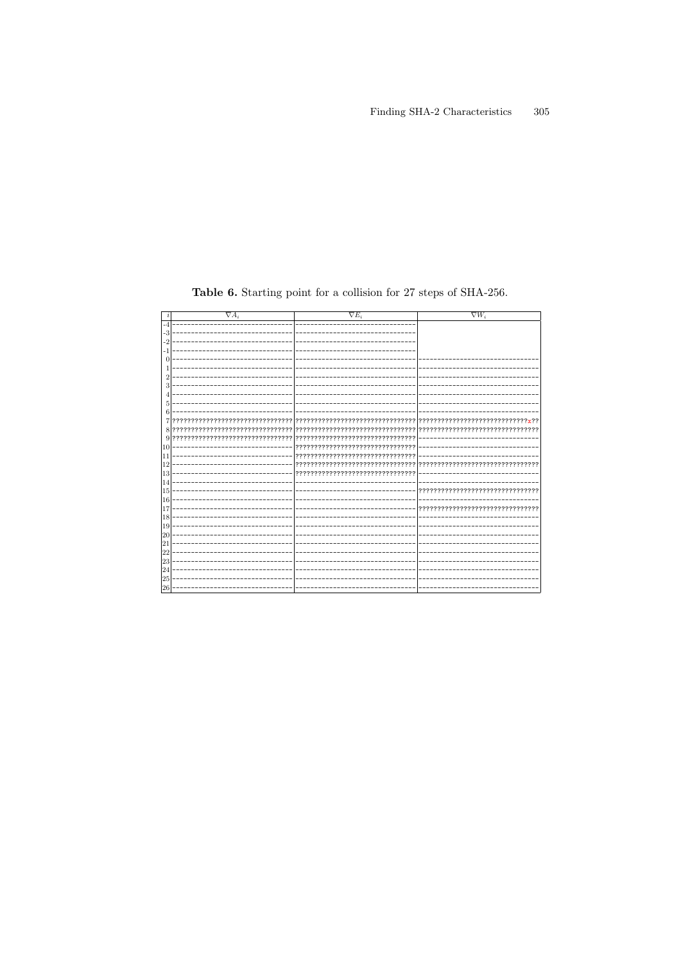| $\boldsymbol{\eta}$ | $\nabla A_i$                      | $\nabla E_i$                      | $\nabla W_i$                     |
|---------------------|-----------------------------------|-----------------------------------|----------------------------------|
| -4                  |                                   |                                   |                                  |
|                     |                                   |                                   |                                  |
| -2                  |                                   |                                   |                                  |
|                     |                                   |                                   |                                  |
|                     |                                   |                                   |                                  |
|                     |                                   |                                   |                                  |
|                     |                                   |                                   |                                  |
|                     |                                   |                                   |                                  |
|                     |                                   |                                   |                                  |
|                     |                                   |                                   |                                  |
|                     |                                   |                                   |                                  |
|                     | ????????????????????????????????? |                                   |                                  |
| 8                   | ????????????????????????????????? |                                   |                                  |
| 9                   | 77777                             |                                   |                                  |
| 10                  |                                   | ????????????????????????????????? |                                  |
| 11                  |                                   | ????????????????????????????????? |                                  |
| 12                  |                                   |                                   | 777<br>77777                     |
| 13                  |                                   | ??????????<br>???????             |                                  |
| 14                  |                                   |                                   |                                  |
| 15                  |                                   |                                   | ???????????????????????????????? |
| 16                  |                                   |                                   |                                  |
| 17                  |                                   |                                   |                                  |
| 18                  |                                   |                                   |                                  |
| 19                  |                                   |                                   |                                  |
| 20                  |                                   |                                   |                                  |
| 21                  |                                   |                                   |                                  |
| 22                  |                                   |                                   |                                  |
| 23                  |                                   |                                   |                                  |
| 24                  |                                   |                                   |                                  |
| 25                  |                                   |                                   |                                  |
| 26                  |                                   |                                   |                                  |

<span id="page-17-0"></span>Table 6. Starting point for a collision for 27 steps of SHA-256.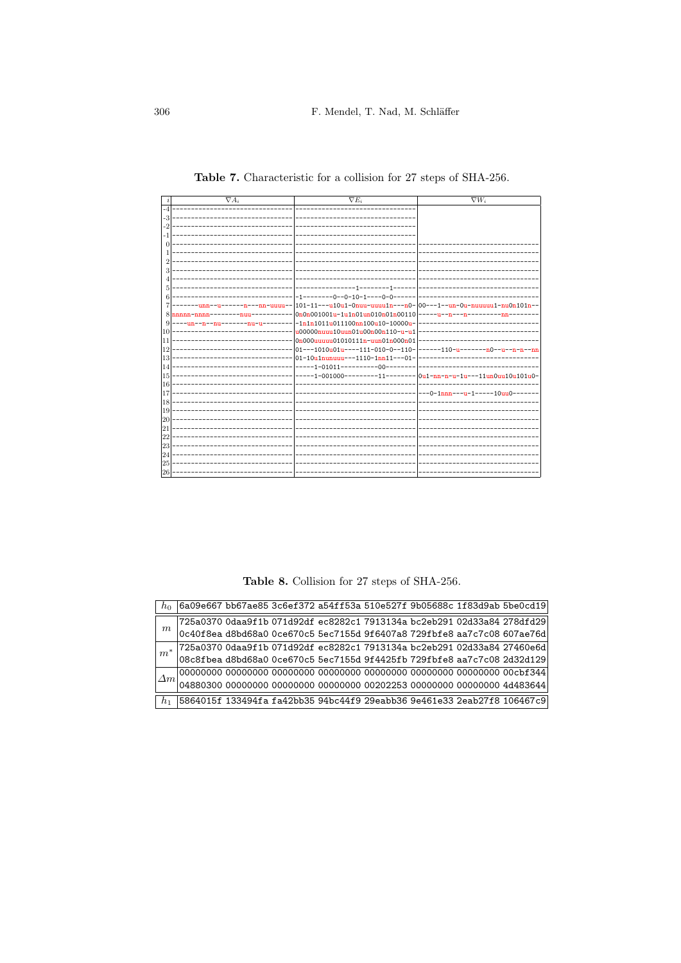|    | $\nabla A_i$ | $\nabla E_i$                                      | $\nabla W_i$                                                      |
|----|--------------|---------------------------------------------------|-------------------------------------------------------------------|
|    |              |                                                   |                                                                   |
|    |              |                                                   |                                                                   |
|    |              |                                                   |                                                                   |
|    |              |                                                   |                                                                   |
|    |              |                                                   |                                                                   |
|    |              |                                                   |                                                                   |
|    |              |                                                   |                                                                   |
|    |              |                                                   |                                                                   |
|    |              |                                                   |                                                                   |
|    |              |                                                   |                                                                   |
|    |              | $-1$ --------0--0-10-1----0-0---                  |                                                                   |
|    |              |                                                   |                                                                   |
| 8  |              | - 0n0n001001u-1u1n01un010n01n00110 -----u--n---n- |                                                                   |
| 9  |              | $- -1n1n1011u011100nn100u10-10000u-$              |                                                                   |
| 10 |              | u00000nuuu10uun01u00n00n110-u-u1                  |                                                                   |
| 11 |              | 0n000uuuuu01010111n-uun01n000n01                  |                                                                   |
| 12 |              | $01--1010u01u---111-010-0--110-$                  | $----110-u----n0--u--n-n-n-nn$                                    |
| 13 |              | 01-10u1nunuuu---1110-1nn11---01-                  |                                                                   |
| 14 |              | -----1-01011----------00--------                  |                                                                   |
| 15 |              |                                                   | -----1-001000---------11-------- 0u1-nn-n-u-1u---11un0uu10u101u0- |
| 16 |              |                                                   |                                                                   |
| 17 |              |                                                   | $---0-1$ nnn $---u-1---10uu0$                                     |
| 18 |              |                                                   |                                                                   |
| 19 |              |                                                   |                                                                   |
| 20 |              |                                                   |                                                                   |
| 21 |              |                                                   |                                                                   |
| 22 |              |                                                   |                                                                   |
| 23 |              |                                                   |                                                                   |
| 24 |              |                                                   |                                                                   |
| 25 |              |                                                   |                                                                   |
| 26 |              |                                                   |                                                                   |

<span id="page-18-1"></span>Table 7. Characteristic for a collision for 27 steps of SHA-256.

<span id="page-18-0"></span>Table 8. Collision for 27 steps of SHA-256.

|                |  |  |  | 6a09e667 bb67ae85 3c6ef372 a54ff53a 510e527f 9b05688c 1f83d9ab 5be0cd19                    |
|----------------|--|--|--|--------------------------------------------------------------------------------------------|
|                |  |  |  | 725a0370 0daa9f1b 071d92df ec8282c1 7913134a bc2eb291 02d33a84 278dfd29                    |
| m              |  |  |  | $\left $ 0c40f8ea d8bd68a0 0ce670c5 5ec7155d 9f6407a8 729fbfe8 aa7c7c08 607ae76d $\right $ |
| $\overline{m}$ |  |  |  | 725a0370 0daa9f1b 071d92df ec8282c1 7913134a bc2eb291 02d33a84 27460e6d                    |
|                |  |  |  | $\vert$ 08c8fbea d8bd68a0 0ce670c5 5ec7155d 9f4425fb 729fbfe8 aa7c7c08 2d32d129 $\vert$    |
|                |  |  |  |                                                                                            |
|                |  |  |  | 04880300 00000000 00000000 00000000 00202253 00000000 00000000 4d483644                    |
|                |  |  |  | 5864015f 133494fa fa42bb35 94bc44f9 29eabb36 9e461e33 2eab27f8 106467c9                    |